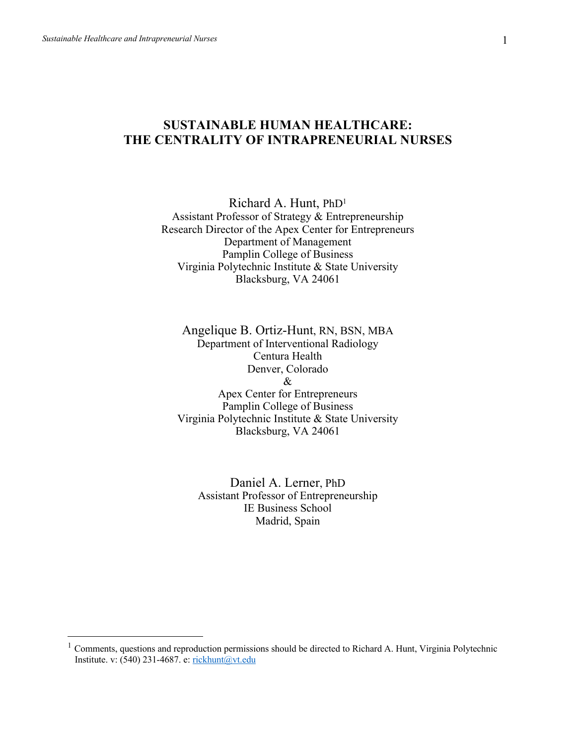## **SUSTAINABLE HUMAN HEALTHCARE: THE CENTRALITY OF INTRAPRENEURIAL NURSES**

Richard A. Hunt, PhD1 Assistant Professor of Strategy & Entrepreneurship Research Director of the Apex Center for Entrepreneurs Department of Management Pamplin College of Business Virginia Polytechnic Institute & State University Blacksburg, VA 24061

Angelique B. Ortiz-Hunt, RN, BSN, MBA Department of Interventional Radiology Centura Health Denver, Colorado & Apex Center for Entrepreneurs Pamplin College of Business Virginia Polytechnic Institute & State University Blacksburg, VA 24061

Daniel A. Lerner, PhD Assistant Professor of Entrepreneurship IE Business School Madrid, Spain

<sup>&</sup>lt;sup>1</sup> Comments, questions and reproduction permissions should be directed to Richard A. Hunt, Virginia Polytechnic Institute. v: (540) 231-4687. e: rickhunt@vt.edu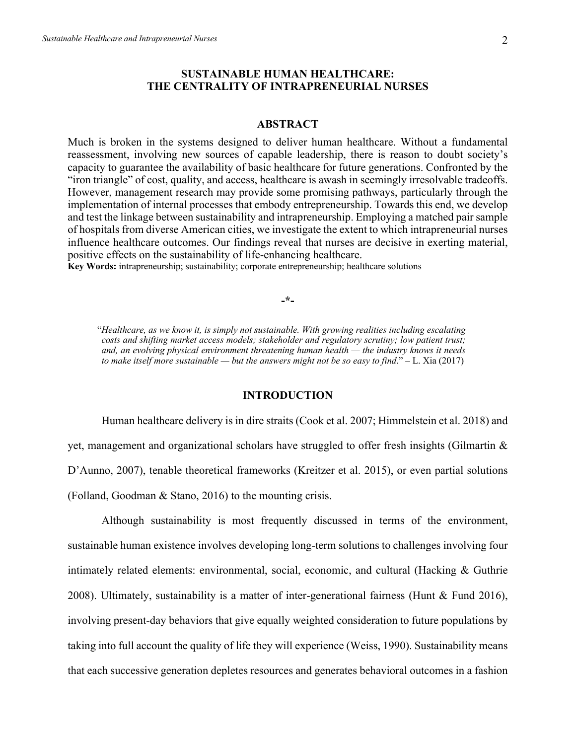### **SUSTAINABLE HUMAN HEALTHCARE: THE CENTRALITY OF INTRAPRENEURIAL NURSES**

### **ABSTRACT**

Much is broken in the systems designed to deliver human healthcare. Without a fundamental reassessment, involving new sources of capable leadership, there is reason to doubt society's capacity to guarantee the availability of basic healthcare for future generations. Confronted by the "iron triangle" of cost, quality, and access, healthcare is awash in seemingly irresolvable tradeoffs. However, management research may provide some promising pathways, particularly through the implementation of internal processes that embody entrepreneurship. Towards this end, we develop and test the linkage between sustainability and intrapreneurship. Employing a matched pair sample of hospitals from diverse American cities, we investigate the extent to which intrapreneurial nurses influence healthcare outcomes. Our findings reveal that nurses are decisive in exerting material, positive effects on the sustainability of life-enhancing healthcare.

**Key Words:** intrapreneurship; sustainability; corporate entrepreneurship; healthcare solutions

#### **-\*-**

"*Healthcare, as we know it, is simply not sustainable. With growing realities including escalating costs and shifting market access models; stakeholder and regulatory scrutiny; low patient trust; and, an evolving physical environment threatening human health — the industry knows it needs to make itself more sustainable — but the answers might not be so easy to find*." – L. Xia (2017)

#### **INTRODUCTION**

Human healthcare delivery is in dire straits (Cook et al. 2007; Himmelstein et al. 2018) and yet, management and organizational scholars have struggled to offer fresh insights (Gilmartin & D'Aunno, 2007), tenable theoretical frameworks (Kreitzer et al. 2015), or even partial solutions (Folland, Goodman & Stano, 2016) to the mounting crisis.

Although sustainability is most frequently discussed in terms of the environment, sustainable human existence involves developing long-term solutions to challenges involving four intimately related elements: environmental, social, economic, and cultural (Hacking & Guthrie 2008). Ultimately, sustainability is a matter of inter-generational fairness (Hunt & Fund 2016), involving present-day behaviors that give equally weighted consideration to future populations by taking into full account the quality of life they will experience (Weiss, 1990). Sustainability means that each successive generation depletes resources and generates behavioral outcomes in a fashion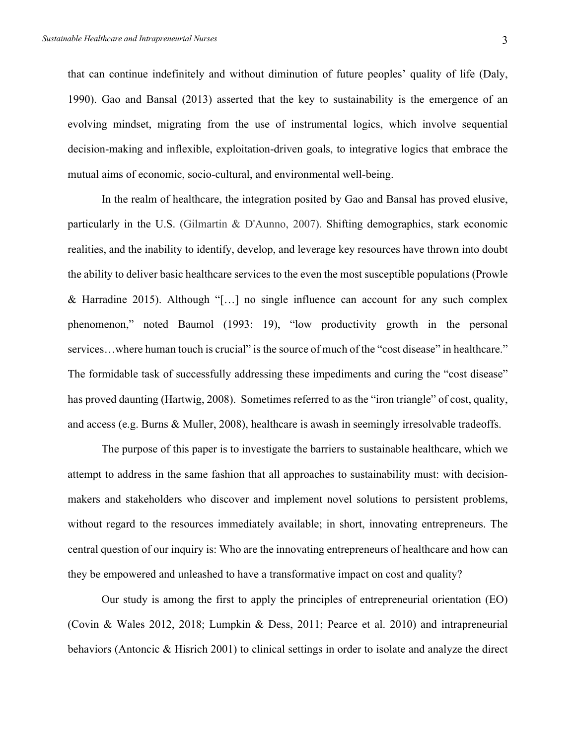that can continue indefinitely and without diminution of future peoples' quality of life (Daly, 1990). Gao and Bansal (2013) asserted that the key to sustainability is the emergence of an evolving mindset, migrating from the use of instrumental logics, which involve sequential decision-making and inflexible, exploitation-driven goals, to integrative logics that embrace the mutual aims of economic, socio-cultural, and environmental well-being.

In the realm of healthcare, the integration posited by Gao and Bansal has proved elusive, particularly in the U.S. (Gilmartin & D'Aunno, 2007). Shifting demographics, stark economic realities, and the inability to identify, develop, and leverage key resources have thrown into doubt the ability to deliver basic healthcare services to the even the most susceptible populations (Prowle & Harradine 2015). Although "[…] no single influence can account for any such complex phenomenon," noted Baumol (1993: 19), "low productivity growth in the personal services...where human touch is crucial" is the source of much of the "cost disease" in healthcare." The formidable task of successfully addressing these impediments and curing the "cost disease" has proved daunting (Hartwig, 2008). Sometimes referred to as the "iron triangle" of cost, quality, and access (e.g. Burns & Muller, 2008), healthcare is awash in seemingly irresolvable tradeoffs.

The purpose of this paper is to investigate the barriers to sustainable healthcare, which we attempt to address in the same fashion that all approaches to sustainability must: with decisionmakers and stakeholders who discover and implement novel solutions to persistent problems, without regard to the resources immediately available; in short, innovating entrepreneurs. The central question of our inquiry is: Who are the innovating entrepreneurs of healthcare and how can they be empowered and unleashed to have a transformative impact on cost and quality?

Our study is among the first to apply the principles of entrepreneurial orientation (EO) (Covin & Wales 2012, 2018; Lumpkin & Dess, 2011; Pearce et al. 2010) and intrapreneurial behaviors (Antoncic & Hisrich 2001) to clinical settings in order to isolate and analyze the direct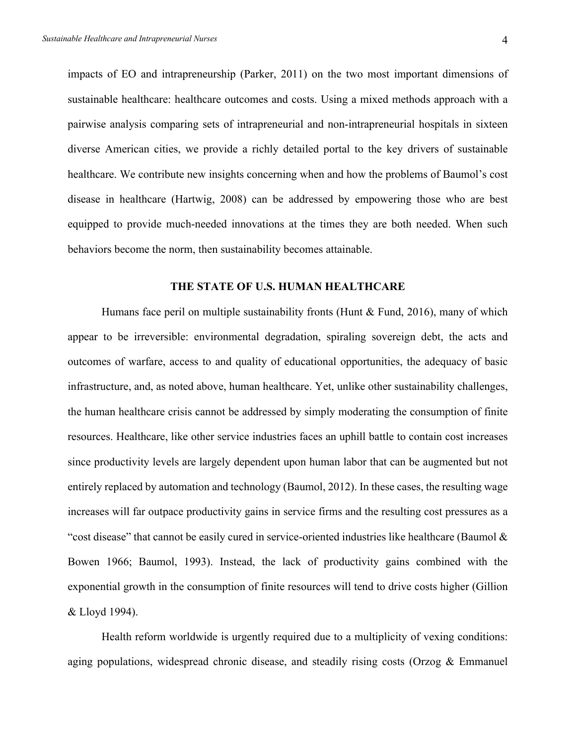impacts of EO and intrapreneurship (Parker, 2011) on the two most important dimensions of sustainable healthcare: healthcare outcomes and costs. Using a mixed methods approach with a pairwise analysis comparing sets of intrapreneurial and non-intrapreneurial hospitals in sixteen diverse American cities, we provide a richly detailed portal to the key drivers of sustainable healthcare. We contribute new insights concerning when and how the problems of Baumol's cost disease in healthcare (Hartwig, 2008) can be addressed by empowering those who are best equipped to provide much-needed innovations at the times they are both needed. When such behaviors become the norm, then sustainability becomes attainable.

### **THE STATE OF U.S. HUMAN HEALTHCARE**

Humans face peril on multiple sustainability fronts (Hunt & Fund, 2016), many of which appear to be irreversible: environmental degradation, spiraling sovereign debt, the acts and outcomes of warfare, access to and quality of educational opportunities, the adequacy of basic infrastructure, and, as noted above, human healthcare. Yet, unlike other sustainability challenges, the human healthcare crisis cannot be addressed by simply moderating the consumption of finite resources. Healthcare, like other service industries faces an uphill battle to contain cost increases since productivity levels are largely dependent upon human labor that can be augmented but not entirely replaced by automation and technology (Baumol, 2012). In these cases, the resulting wage increases will far outpace productivity gains in service firms and the resulting cost pressures as a "cost disease" that cannot be easily cured in service-oriented industries like healthcare (Baumol & Bowen 1966; Baumol, 1993). Instead, the lack of productivity gains combined with the exponential growth in the consumption of finite resources will tend to drive costs higher (Gillion & Lloyd 1994).

Health reform worldwide is urgently required due to a multiplicity of vexing conditions: aging populations, widespread chronic disease, and steadily rising costs (Orzog & Emmanuel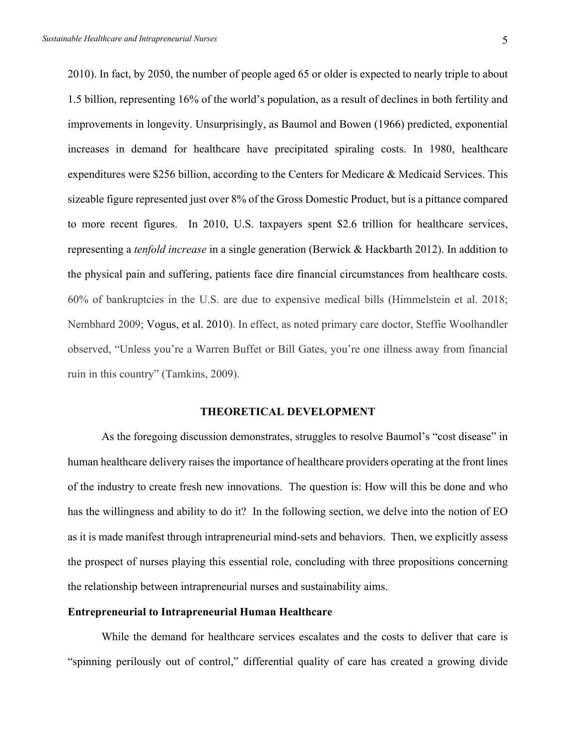2010). In fact, by 2050, the number of people aged 65 or older is expected to nearly triple to about 1.5 billion, representing 16% of the world's population, as a result of declines in both fertility and improvements in longevity. Unsurprisingly, as Baumol and Bowen (1966) predicted, exponential increases in demand for healthcare have precipitated spiraling costs. In 1980, healthcare expenditures were \$256 billion, according to the Centers for Medicare & Medicaid Services. This sizeable figure represented just over 8% of the Gross Domestic Product, but is a pittance compared to more recent figures. In 2010, U.S. taxpayers spent \$2.6 trillion for healthcare services, representing a *tenfold increase* in a single generation (Berwick & Hackbarth 2012). In addition to the physical pain and suffering, patients face dire financial circumstances from healthcare costs. 60% of bankruptcies in the U.S. are due to expensive medical bills (Himmelstein et al. 2018; Nembhard 2009; Vogus, et al. 2010). In effect, as noted primary care doctor, Steffie Woolhandler

ruin in this country" (Tamkins, 2009).

#### **THEORETICAL DEVELOPMENT**

observed, "Unless you're a Warren Buffet or Bill Gates, you're one illness away from financial

As the foregoing discussion demonstrates, struggles to resolve Baumol's "cost disease" in human healthcare delivery raises the importance of healthcare providers operating at the front lines of the industry to create fresh new innovations. The question is: How will this be done and who has the willingness and ability to do it? In the following section, we delve into the notion of EO as it is made manifest through intrapreneurial mind-sets and behaviors. Then, we explicitly assess the prospect of nurses playing this essential role, concluding with three propositions concerning the relationship between intrapreneurial nurses and sustainability aims.

### **Entrepreneurial to Intrapreneurial Human Healthcare**

While the demand for healthcare services escalates and the costs to deliver that care is "spinning perilously out of control," differential quality of care has created a growing divide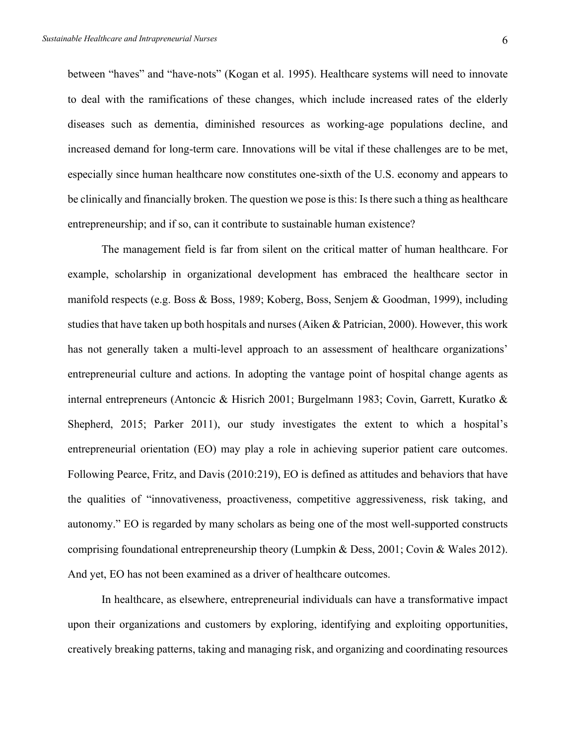between "haves" and "have-nots" (Kogan et al. 1995). Healthcare systems will need to innovate to deal with the ramifications of these changes, which include increased rates of the elderly diseases such as dementia, diminished resources as working-age populations decline, and increased demand for long-term care. Innovations will be vital if these challenges are to be met, especially since human healthcare now constitutes one-sixth of the U.S. economy and appears to be clinically and financially broken. The question we pose is this: Is there such a thing as healthcare entrepreneurship; and if so, can it contribute to sustainable human existence?

The management field is far from silent on the critical matter of human healthcare. For example, scholarship in organizational development has embraced the healthcare sector in manifold respects (e.g. Boss & Boss, 1989; Koberg, Boss, Senjem & Goodman, 1999), including studies that have taken up both hospitals and nurses (Aiken & Patrician, 2000). However, this work has not generally taken a multi-level approach to an assessment of healthcare organizations' entrepreneurial culture and actions. In adopting the vantage point of hospital change agents as internal entrepreneurs (Antoncic & Hisrich 2001; Burgelmann 1983; Covin, Garrett, Kuratko & Shepherd, 2015; Parker 2011), our study investigates the extent to which a hospital's entrepreneurial orientation (EO) may play a role in achieving superior patient care outcomes. Following Pearce, Fritz, and Davis (2010:219), EO is defined as attitudes and behaviors that have the qualities of "innovativeness, proactiveness, competitive aggressiveness, risk taking, and autonomy." EO is regarded by many scholars as being one of the most well-supported constructs comprising foundational entrepreneurship theory (Lumpkin & Dess, 2001; Covin & Wales 2012). And yet, EO has not been examined as a driver of healthcare outcomes.

In healthcare, as elsewhere, entrepreneurial individuals can have a transformative impact upon their organizations and customers by exploring, identifying and exploiting opportunities, creatively breaking patterns, taking and managing risk, and organizing and coordinating resources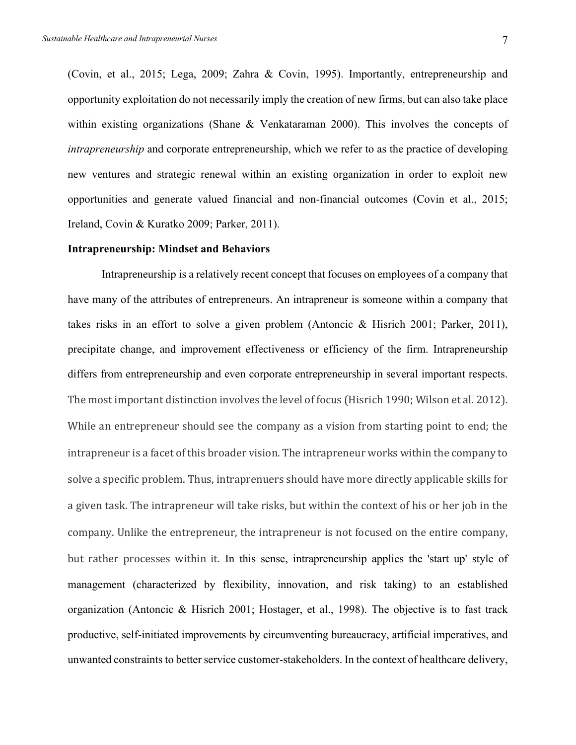(Covin, et al., 2015; Lega, 2009; Zahra & Covin, 1995). Importantly, entrepreneurship and opportunity exploitation do not necessarily imply the creation of new firms, but can also take place within existing organizations (Shane & Venkataraman 2000). This involves the concepts of *intrapreneurship* and corporate entrepreneurship, which we refer to as the practice of developing new ventures and strategic renewal within an existing organization in order to exploit new opportunities and generate valued financial and non-financial outcomes (Covin et al., 2015; Ireland, Covin & Kuratko 2009; Parker, 2011).

### **Intrapreneurship: Mindset and Behaviors**

Intrapreneurship is a relatively recent concept that focuses on employees of a company that have many of the attributes of entrepreneurs. An intrapreneur is someone within a company that takes risks in an effort to solve a given problem (Antoncic & Hisrich 2001; Parker, 2011), precipitate change, and improvement effectiveness or efficiency of the firm. Intrapreneurship differs from entrepreneurship and even corporate entrepreneurship in several important respects. The most important distinction involves the level of focus (Hisrich 1990; Wilson et al. 2012). While an entrepreneur should see the company as a vision from starting point to end; the intrapreneur is a facet of this broader vision. The intrapreneur works within the company to solve a specific problem. Thus, intraprenuers should have more directly applicable skills for a given task. The intrapreneur will take risks, but within the context of his or her job in the company. Unlike the entrepreneur, the intrapreneur is not focused on the entire company, but rather processes within it. In this sense, intrapreneurship applies the 'start up' style of management (characterized by flexibility, innovation, and risk taking) to an established organization (Antoncic & Hisrich 2001; Hostager, et al., 1998). The objective is to fast track productive, self-initiated improvements by circumventing bureaucracy, artificial imperatives, and unwanted constraints to better service customer-stakeholders. In the context of healthcare delivery,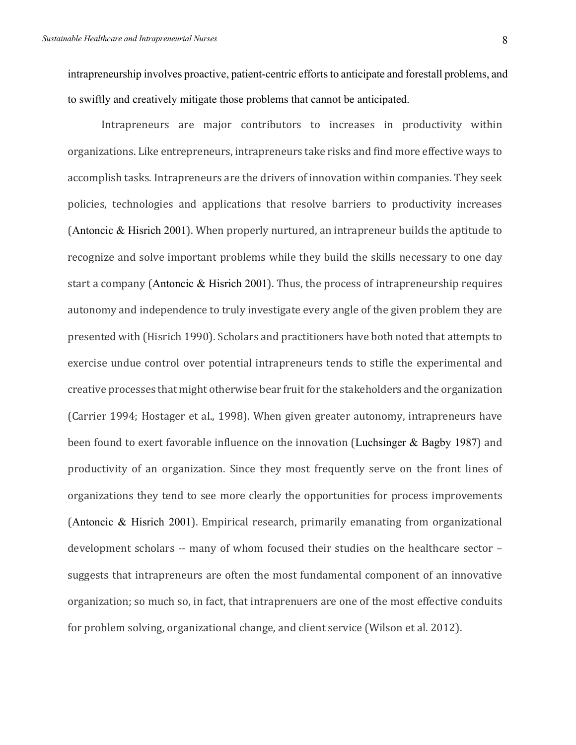intrapreneurship involves proactive, patient-centric efforts to anticipate and forestall problems, and to swiftly and creatively mitigate those problems that cannot be anticipated.

Intrapreneurs are major contributors to increases in productivity within organizations. Like entrepreneurs, intrapreneurs take risks and find more effective ways to accomplish tasks. Intrapreneurs are the drivers of innovation within companies. They seek policies, technologies and applications that resolve barriers to productivity increases (Antoncic  $&$  Hisrich 2001). When properly nurtured, an intrapreneur builds the aptitude to recognize and solve important problems while they build the skills necessary to one day start a company (Antoncic  $&$  Hisrich 2001). Thus, the process of intrapreneurship requires autonomy and independence to truly investigate every angle of the given problem they are presented with (Hisrich 1990). Scholars and practitioners have both noted that attempts to exercise undue control over potential intrapreneurs tends to stifle the experimental and creative processes that might otherwise bear fruit for the stakeholders and the organization (Carrier 1994; Hostager et al., 1998). When given greater autonomy, intrapreneurs have been found to exert favorable influence on the innovation (Luchsinger  $&$  Bagby 1987) and productivity of an organization. Since they most frequently serve on the front lines of organizations they tend to see more clearly the opportunities for process improvements (Antoncic & Hisrich 2001). Empirical research, primarily emanating from organizational development scholars -- many of whom focused their studies on the healthcare sector suggests that intrapreneurs are often the most fundamental component of an innovative organization; so much so, in fact, that intraprenuers are one of the most effective conduits for problem solving, organizational change, and client service (Wilson et al. 2012).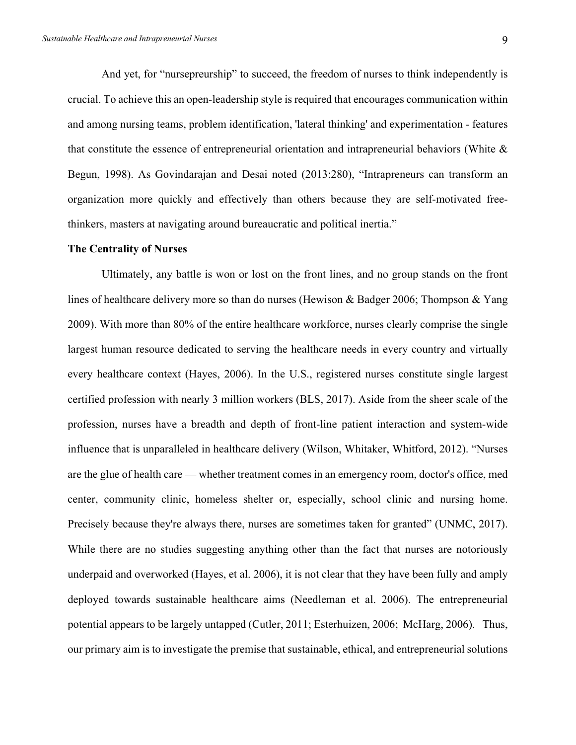And yet, for "nursepreurship" to succeed, the freedom of nurses to think independently is crucial. To achieve this an open-leadership style is required that encourages communication within and among nursing teams, problem identification, 'lateral thinking' and experimentation - features that constitute the essence of entrepreneurial orientation and intrapreneurial behaviors (White  $\&$ Begun, 1998). As Govindarajan and Desai noted (2013:280), "Intrapreneurs can transform an organization more quickly and effectively than others because they are self-motivated freethinkers, masters at navigating around bureaucratic and political inertia."

#### **The Centrality of Nurses**

Ultimately, any battle is won or lost on the front lines, and no group stands on the front lines of healthcare delivery more so than do nurses (Hewison & Badger 2006; Thompson & Yang 2009). With more than 80% of the entire healthcare workforce, nurses clearly comprise the single largest human resource dedicated to serving the healthcare needs in every country and virtually every healthcare context (Hayes, 2006). In the U.S., registered nurses constitute single largest certified profession with nearly 3 million workers (BLS, 2017). Aside from the sheer scale of the profession, nurses have a breadth and depth of front-line patient interaction and system-wide influence that is unparalleled in healthcare delivery (Wilson, Whitaker, Whitford, 2012). "Nurses are the glue of health care — whether treatment comes in an emergency room, doctor's office, med center, community clinic, homeless shelter or, especially, school clinic and nursing home. Precisely because they're always there, nurses are sometimes taken for granted" (UNMC, 2017). While there are no studies suggesting anything other than the fact that nurses are notoriously underpaid and overworked (Hayes, et al. 2006), it is not clear that they have been fully and amply deployed towards sustainable healthcare aims (Needleman et al. 2006). The entrepreneurial potential appears to be largely untapped (Cutler, 2011; Esterhuizen, 2006; McHarg, 2006). Thus, our primary aim is to investigate the premise that sustainable, ethical, and entrepreneurial solutions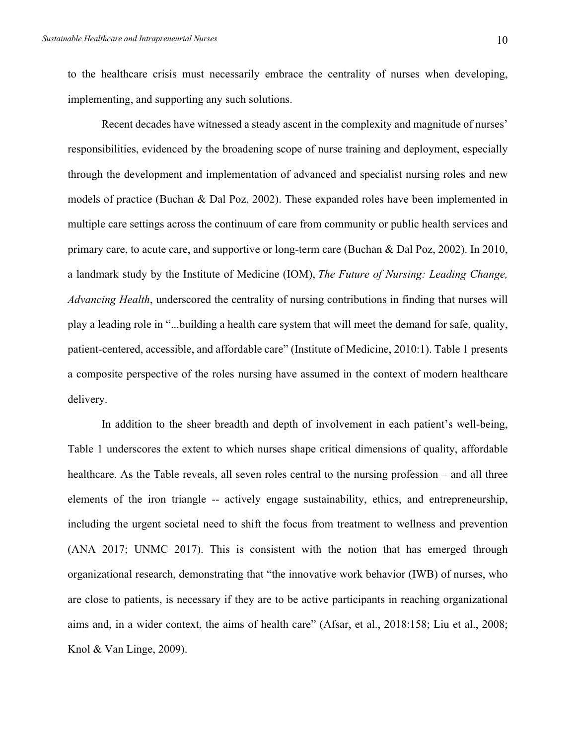to the healthcare crisis must necessarily embrace the centrality of nurses when developing, implementing, and supporting any such solutions.

Recent decades have witnessed a steady ascent in the complexity and magnitude of nurses' responsibilities, evidenced by the broadening scope of nurse training and deployment, especially through the development and implementation of advanced and specialist nursing roles and new models of practice (Buchan & Dal Poz, 2002). These expanded roles have been implemented in multiple care settings across the continuum of care from community or public health services and primary care, to acute care, and supportive or long-term care (Buchan & Dal Poz, 2002). In 2010, a landmark study by the Institute of Medicine (IOM), *The Future of Nursing: Leading Change, Advancing Health*, underscored the centrality of nursing contributions in finding that nurses will play a leading role in "...building a health care system that will meet the demand for safe, quality, patient-centered, accessible, and affordable care" (Institute of Medicine, 2010:1). Table 1 presents a composite perspective of the roles nursing have assumed in the context of modern healthcare delivery.

In addition to the sheer breadth and depth of involvement in each patient's well-being, Table 1 underscores the extent to which nurses shape critical dimensions of quality, affordable healthcare. As the Table reveals, all seven roles central to the nursing profession – and all three elements of the iron triangle -- actively engage sustainability, ethics, and entrepreneurship, including the urgent societal need to shift the focus from treatment to wellness and prevention (ANA 2017; UNMC 2017). This is consistent with the notion that has emerged through organizational research, demonstrating that "the innovative work behavior (IWB) of nurses, who are close to patients, is necessary if they are to be active participants in reaching organizational aims and, in a wider context, the aims of health care" (Afsar, et al., 2018:158; Liu et al., 2008; Knol & Van Linge, 2009).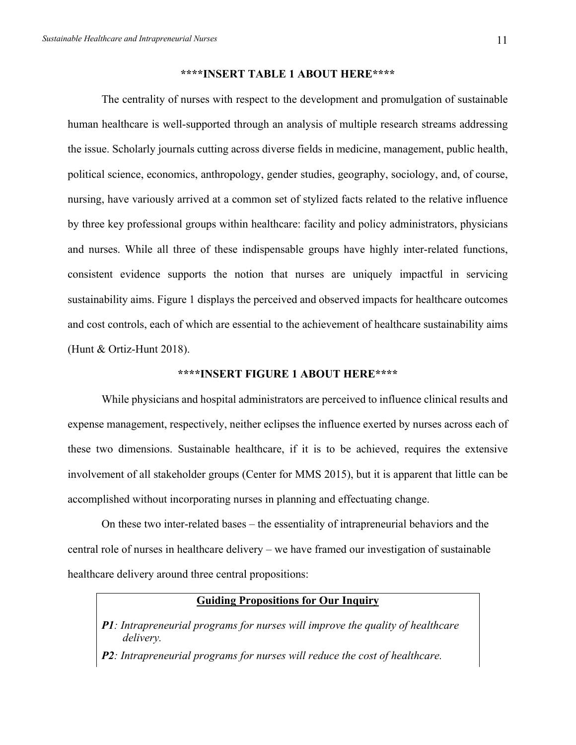### **\*\*\*\*INSERT TABLE 1 ABOUT HERE\*\*\*\***

The centrality of nurses with respect to the development and promulgation of sustainable human healthcare is well-supported through an analysis of multiple research streams addressing the issue. Scholarly journals cutting across diverse fields in medicine, management, public health, political science, economics, anthropology, gender studies, geography, sociology, and, of course, nursing, have variously arrived at a common set of stylized facts related to the relative influence by three key professional groups within healthcare: facility and policy administrators, physicians and nurses. While all three of these indispensable groups have highly inter-related functions, consistent evidence supports the notion that nurses are uniquely impactful in servicing sustainability aims. Figure 1 displays the perceived and observed impacts for healthcare outcomes and cost controls, each of which are essential to the achievement of healthcare sustainability aims (Hunt & Ortiz-Hunt 2018).

#### **\*\*\*\*INSERT FIGURE 1 ABOUT HERE\*\*\*\***

While physicians and hospital administrators are perceived to influence clinical results and expense management, respectively, neither eclipses the influence exerted by nurses across each of these two dimensions. Sustainable healthcare, if it is to be achieved, requires the extensive involvement of all stakeholder groups (Center for MMS 2015), but it is apparent that little can be accomplished without incorporating nurses in planning and effectuating change.

On these two inter-related bases – the essentiality of intrapreneurial behaviors and the central role of nurses in healthcare delivery – we have framed our investigation of sustainable healthcare delivery around three central propositions:

### **Guiding Propositions for Our Inquiry**

*P1: Intrapreneurial programs for nurses will improve the quality of healthcare delivery.*

*P2: Intrapreneurial programs for nurses will reduce the cost of healthcare.*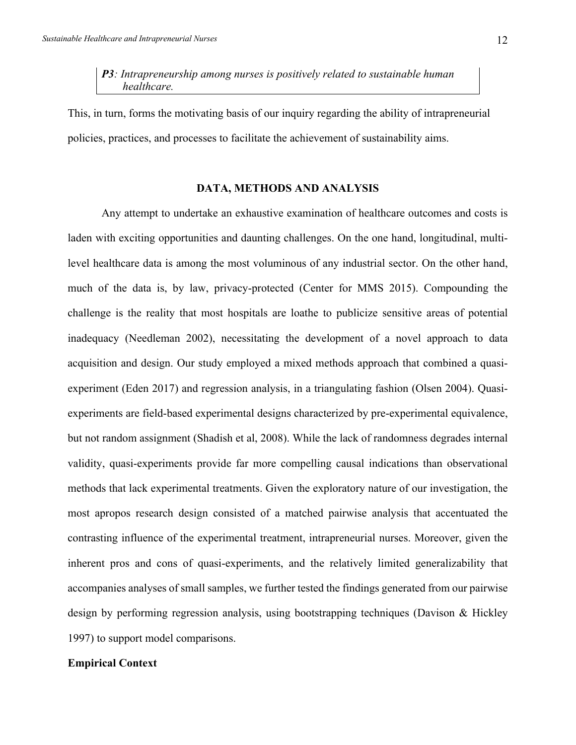*P3: Intrapreneurship among nurses is positively related to sustainable human healthcare.*

This, in turn, forms the motivating basis of our inquiry regarding the ability of intrapreneurial policies, practices, and processes to facilitate the achievement of sustainability aims.

### **DATA, METHODS AND ANALYSIS**

Any attempt to undertake an exhaustive examination of healthcare outcomes and costs is laden with exciting opportunities and daunting challenges. On the one hand, longitudinal, multilevel healthcare data is among the most voluminous of any industrial sector. On the other hand, much of the data is, by law, privacy-protected (Center for MMS 2015). Compounding the challenge is the reality that most hospitals are loathe to publicize sensitive areas of potential inadequacy (Needleman 2002), necessitating the development of a novel approach to data acquisition and design. Our study employed a mixed methods approach that combined a quasiexperiment (Eden 2017) and regression analysis, in a triangulating fashion (Olsen 2004). Quasiexperiments are field-based experimental designs characterized by pre-experimental equivalence, but not random assignment (Shadish et al, 2008). While the lack of randomness degrades internal validity, quasi-experiments provide far more compelling causal indications than observational methods that lack experimental treatments. Given the exploratory nature of our investigation, the most apropos research design consisted of a matched pairwise analysis that accentuated the contrasting influence of the experimental treatment, intrapreneurial nurses. Moreover, given the inherent pros and cons of quasi-experiments, and the relatively limited generalizability that accompanies analyses of small samples, we further tested the findings generated from our pairwise design by performing regression analysis, using bootstrapping techniques (Davison & Hickley 1997) to support model comparisons.

### **Empirical Context**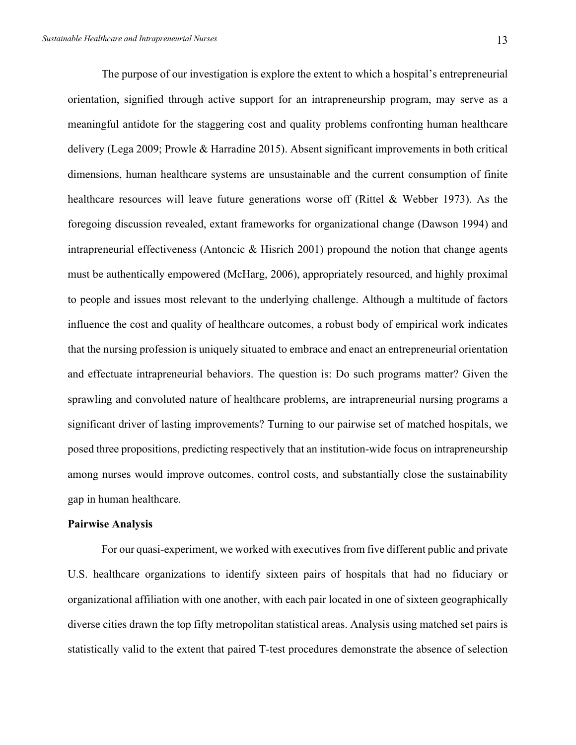The purpose of our investigation is explore the extent to which a hospital's entrepreneurial orientation, signified through active support for an intrapreneurship program, may serve as a meaningful antidote for the staggering cost and quality problems confronting human healthcare delivery (Lega 2009; Prowle & Harradine 2015). Absent significant improvements in both critical dimensions, human healthcare systems are unsustainable and the current consumption of finite healthcare resources will leave future generations worse off (Rittel & Webber 1973). As the foregoing discussion revealed, extant frameworks for organizational change (Dawson 1994) and intrapreneurial effectiveness (Antoncic & Hisrich 2001) propound the notion that change agents must be authentically empowered (McHarg, 2006), appropriately resourced, and highly proximal to people and issues most relevant to the underlying challenge. Although a multitude of factors influence the cost and quality of healthcare outcomes, a robust body of empirical work indicates that the nursing profession is uniquely situated to embrace and enact an entrepreneurial orientation and effectuate intrapreneurial behaviors. The question is: Do such programs matter? Given the sprawling and convoluted nature of healthcare problems, are intrapreneurial nursing programs a significant driver of lasting improvements? Turning to our pairwise set of matched hospitals, we posed three propositions, predicting respectively that an institution-wide focus on intrapreneurship among nurses would improve outcomes, control costs, and substantially close the sustainability gap in human healthcare.

### **Pairwise Analysis**

For our quasi-experiment, we worked with executives from five different public and private U.S. healthcare organizations to identify sixteen pairs of hospitals that had no fiduciary or organizational affiliation with one another, with each pair located in one of sixteen geographically diverse cities drawn the top fifty metropolitan statistical areas. Analysis using matched set pairs is statistically valid to the extent that paired T-test procedures demonstrate the absence of selection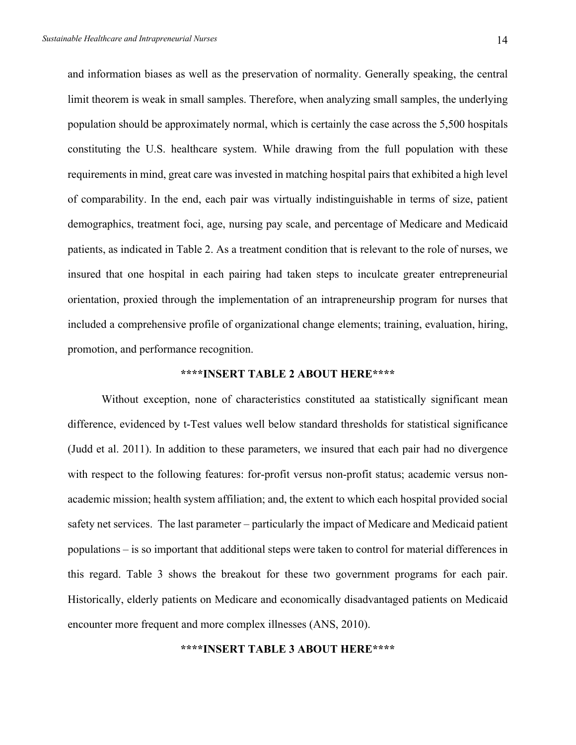and information biases as well as the preservation of normality. Generally speaking, the central limit theorem is weak in small samples. Therefore, when analyzing small samples, the underlying population should be approximately normal, which is certainly the case across the 5,500 hospitals constituting the U.S. healthcare system. While drawing from the full population with these requirements in mind, great care was invested in matching hospital pairs that exhibited a high level of comparability. In the end, each pair was virtually indistinguishable in terms of size, patient demographics, treatment foci, age, nursing pay scale, and percentage of Medicare and Medicaid patients, as indicated in Table 2. As a treatment condition that is relevant to the role of nurses, we insured that one hospital in each pairing had taken steps to inculcate greater entrepreneurial orientation, proxied through the implementation of an intrapreneurship program for nurses that included a comprehensive profile of organizational change elements; training, evaluation, hiring, promotion, and performance recognition.

### **\*\*\*\*INSERT TABLE 2 ABOUT HERE\*\*\*\***

Without exception, none of characteristics constituted aa statistically significant mean difference, evidenced by t-Test values well below standard thresholds for statistical significance (Judd et al. 2011). In addition to these parameters, we insured that each pair had no divergence with respect to the following features: for-profit versus non-profit status; academic versus nonacademic mission; health system affiliation; and, the extent to which each hospital provided social safety net services. The last parameter – particularly the impact of Medicare and Medicaid patient populations – is so important that additional steps were taken to control for material differences in this regard. Table 3 shows the breakout for these two government programs for each pair. Historically, elderly patients on Medicare and economically disadvantaged patients on Medicaid encounter more frequent and more complex illnesses (ANS, 2010).

**\*\*\*\*INSERT TABLE 3 ABOUT HERE\*\*\*\***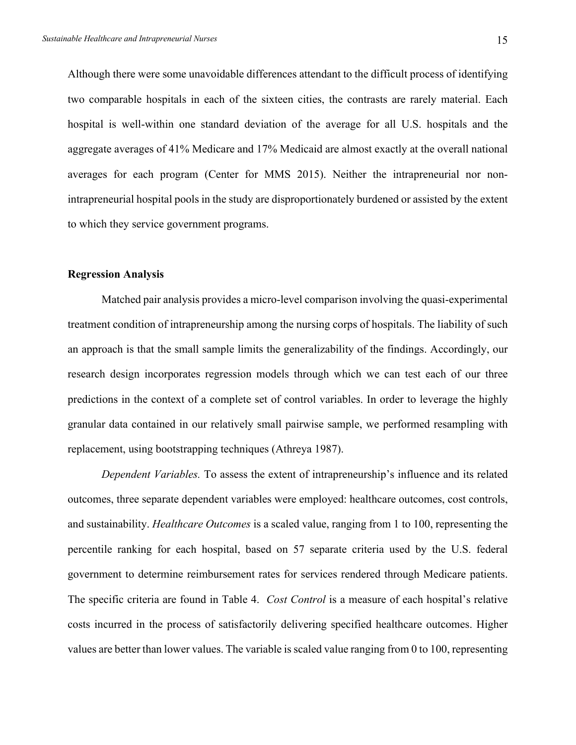Although there were some unavoidable differences attendant to the difficult process of identifying two comparable hospitals in each of the sixteen cities, the contrasts are rarely material. Each hospital is well-within one standard deviation of the average for all U.S. hospitals and the aggregate averages of 41% Medicare and 17% Medicaid are almost exactly at the overall national averages for each program (Center for MMS 2015). Neither the intrapreneurial nor nonintrapreneurial hospital pools in the study are disproportionately burdened or assisted by the extent to which they service government programs.

### **Regression Analysis**

Matched pair analysis provides a micro-level comparison involving the quasi-experimental treatment condition of intrapreneurship among the nursing corps of hospitals. The liability of such an approach is that the small sample limits the generalizability of the findings. Accordingly, our research design incorporates regression models through which we can test each of our three predictions in the context of a complete set of control variables. In order to leverage the highly granular data contained in our relatively small pairwise sample, we performed resampling with replacement, using bootstrapping techniques (Athreya 1987).

*Dependent Variables.* To assess the extent of intrapreneurship's influence and its related outcomes, three separate dependent variables were employed: healthcare outcomes, cost controls, and sustainability. *Healthcare Outcomes* is a scaled value, ranging from 1 to 100, representing the percentile ranking for each hospital, based on 57 separate criteria used by the U.S. federal government to determine reimbursement rates for services rendered through Medicare patients. The specific criteria are found in Table 4. *Cost Control* is a measure of each hospital's relative costs incurred in the process of satisfactorily delivering specified healthcare outcomes. Higher values are better than lower values. The variable is scaled value ranging from 0 to 100, representing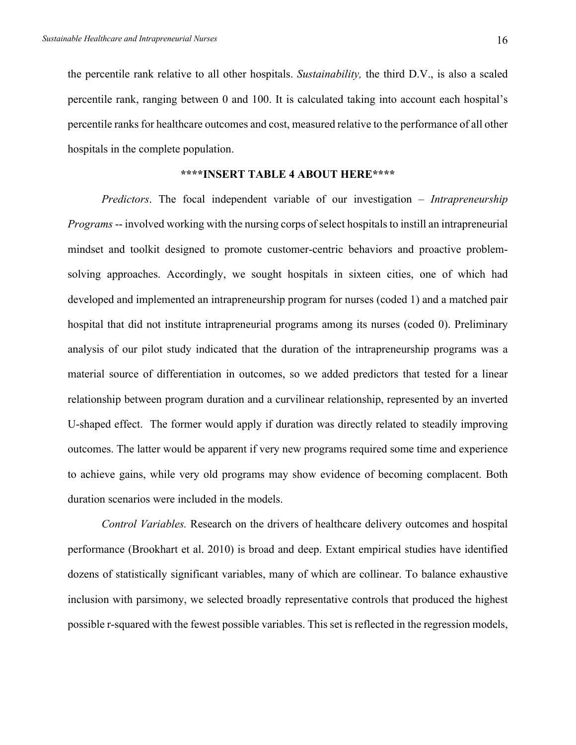the percentile rank relative to all other hospitals. *Sustainability,* the third D.V., is also a scaled percentile rank, ranging between 0 and 100. It is calculated taking into account each hospital's percentile ranks for healthcare outcomes and cost, measured relative to the performance of all other hospitals in the complete population.

### **\*\*\*\*INSERT TABLE 4 ABOUT HERE\*\*\*\***

*Predictors*. The focal independent variable of our investigation – *Intrapreneurship Programs* -- involved working with the nursing corps of select hospitals to instill an intrapreneurial mindset and toolkit designed to promote customer-centric behaviors and proactive problemsolving approaches. Accordingly, we sought hospitals in sixteen cities, one of which had developed and implemented an intrapreneurship program for nurses (coded 1) and a matched pair hospital that did not institute intrapreneurial programs among its nurses (coded 0). Preliminary analysis of our pilot study indicated that the duration of the intrapreneurship programs was a material source of differentiation in outcomes, so we added predictors that tested for a linear relationship between program duration and a curvilinear relationship, represented by an inverted U-shaped effect. The former would apply if duration was directly related to steadily improving outcomes. The latter would be apparent if very new programs required some time and experience to achieve gains, while very old programs may show evidence of becoming complacent. Both duration scenarios were included in the models.

*Control Variables.* Research on the drivers of healthcare delivery outcomes and hospital performance (Brookhart et al. 2010) is broad and deep. Extant empirical studies have identified dozens of statistically significant variables, many of which are collinear. To balance exhaustive inclusion with parsimony, we selected broadly representative controls that produced the highest possible r-squared with the fewest possible variables. This set is reflected in the regression models,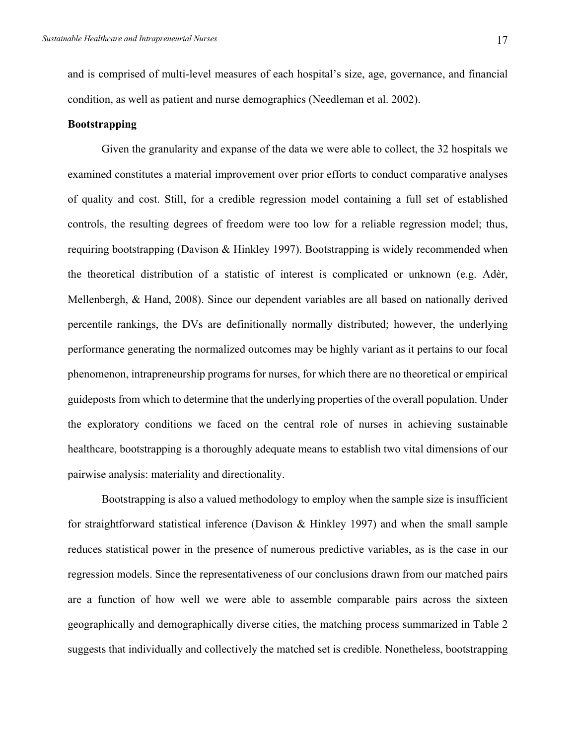and is comprised of multi-level measures of each hospital's size, age, governance, and financial condition, as well as patient and nurse demographics (Needleman et al. 2002).

### **Bootstrapping**

Given the granularity and expanse of the data we were able to collect, the 32 hospitals we examined constitutes a material improvement over prior efforts to conduct comparative analyses of quality and cost. Still, for a credible regression model containing a full set of established controls, the resulting degrees of freedom were too low for a reliable regression model; thus, requiring bootstrapping (Davison & Hinkley 1997). Bootstrapping is widely recommended when the theoretical distribution of a statistic of interest is complicated or unknown (e.g. Adèr, Mellenbergh, & Hand, 2008). Since our dependent variables are all based on nationally derived percentile rankings, the DVs are definitionally normally distributed; however, the underlying performance generating the normalized outcomes may be highly variant as it pertains to our focal phenomenon, intrapreneurship programs for nurses, for which there are no theoretical or empirical guideposts from which to determine that the underlying properties of the overall population. Under the exploratory conditions we faced on the central role of nurses in achieving sustainable healthcare, bootstrapping is a thoroughly adequate means to establish two vital dimensions of our pairwise analysis: materiality and directionality.

Bootstrapping is also a valued methodology to employ when the sample size is insufficient for straightforward statistical inference (Davison & Hinkley 1997) and when the small sample reduces statistical power in the presence of numerous predictive variables, as is the case in our regression models. Since the representativeness of our conclusions drawn from our matched pairs are a function of how well we were able to assemble comparable pairs across the sixteen geographically and demographically diverse cities, the matching process summarized in Table 2 suggests that individually and collectively the matched set is credible. Nonetheless, bootstrapping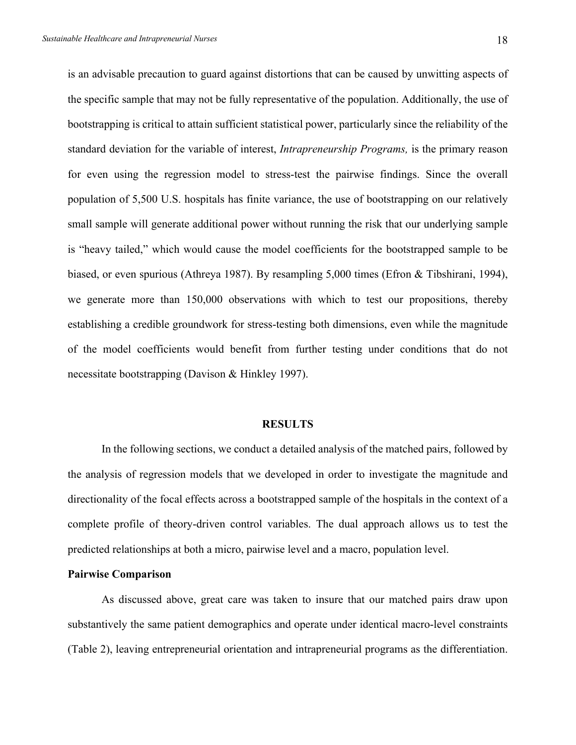is an advisable precaution to guard against distortions that can be caused by unwitting aspects of the specific sample that may not be fully representative of the population. Additionally, the use of bootstrapping is critical to attain sufficient statistical power, particularly since the reliability of the standard deviation for the variable of interest, *Intrapreneurship Programs,* is the primary reason for even using the regression model to stress-test the pairwise findings. Since the overall population of 5,500 U.S. hospitals has finite variance, the use of bootstrapping on our relatively small sample will generate additional power without running the risk that our underlying sample is "heavy tailed," which would cause the model coefficients for the bootstrapped sample to be biased, or even spurious (Athreya 1987). By resampling 5,000 times (Efron & Tibshirani, 1994), we generate more than 150,000 observations with which to test our propositions, thereby establishing a credible groundwork for stress-testing both dimensions, even while the magnitude of the model coefficients would benefit from further testing under conditions that do not necessitate bootstrapping (Davison & Hinkley 1997).

#### **RESULTS**

In the following sections, we conduct a detailed analysis of the matched pairs, followed by the analysis of regression models that we developed in order to investigate the magnitude and directionality of the focal effects across a bootstrapped sample of the hospitals in the context of a complete profile of theory-driven control variables. The dual approach allows us to test the predicted relationships at both a micro, pairwise level and a macro, population level.

### **Pairwise Comparison**

As discussed above, great care was taken to insure that our matched pairs draw upon substantively the same patient demographics and operate under identical macro-level constraints (Table 2), leaving entrepreneurial orientation and intrapreneurial programs as the differentiation.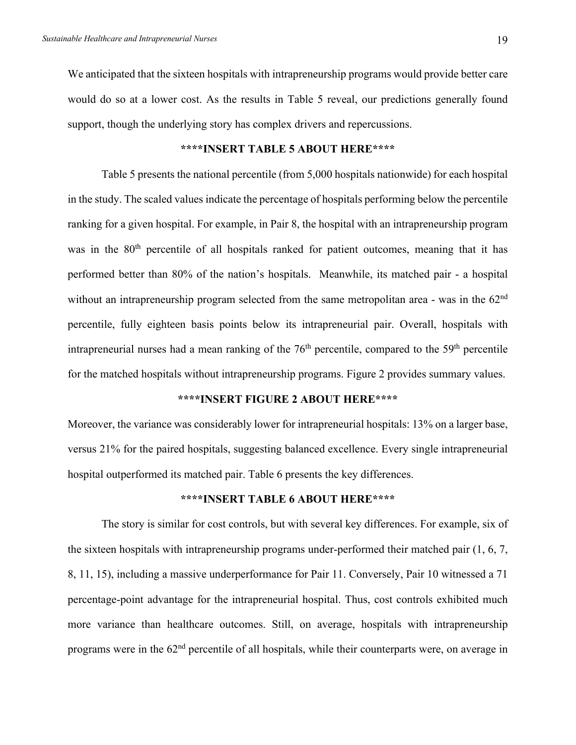We anticipated that the sixteen hospitals with intrapreneurship programs would provide better care would do so at a lower cost. As the results in Table 5 reveal, our predictions generally found support, though the underlying story has complex drivers and repercussions.

### **\*\*\*\*INSERT TABLE 5 ABOUT HERE\*\*\*\***

Table 5 presents the national percentile (from 5,000 hospitals nationwide) for each hospital in the study. The scaled values indicate the percentage of hospitals performing below the percentile ranking for a given hospital. For example, in Pair 8, the hospital with an intrapreneurship program was in the 80<sup>th</sup> percentile of all hospitals ranked for patient outcomes, meaning that it has performed better than 80% of the nation's hospitals. Meanwhile, its matched pair - a hospital without an intrapreneurship program selected from the same metropolitan area - was in the 62<sup>nd</sup> percentile, fully eighteen basis points below its intrapreneurial pair. Overall, hospitals with intrapreneurial nurses had a mean ranking of the  $76<sup>th</sup>$  percentile, compared to the  $59<sup>th</sup>$  percentile for the matched hospitals without intrapreneurship programs. Figure 2 provides summary values.

### **\*\*\*\*INSERT FIGURE 2 ABOUT HERE\*\*\*\***

Moreover, the variance was considerably lower for intrapreneurial hospitals: 13% on a larger base, versus 21% for the paired hospitals, suggesting balanced excellence. Every single intrapreneurial hospital outperformed its matched pair. Table 6 presents the key differences.

### **\*\*\*\*INSERT TABLE 6 ABOUT HERE\*\*\*\***

The story is similar for cost controls, but with several key differences. For example, six of the sixteen hospitals with intrapreneurship programs under-performed their matched pair (1, 6, 7, 8, 11, 15), including a massive underperformance for Pair 11. Conversely, Pair 10 witnessed a 71 percentage-point advantage for the intrapreneurial hospital. Thus, cost controls exhibited much more variance than healthcare outcomes. Still, on average, hospitals with intrapreneurship programs were in the  $62<sup>nd</sup>$  percentile of all hospitals, while their counterparts were, on average in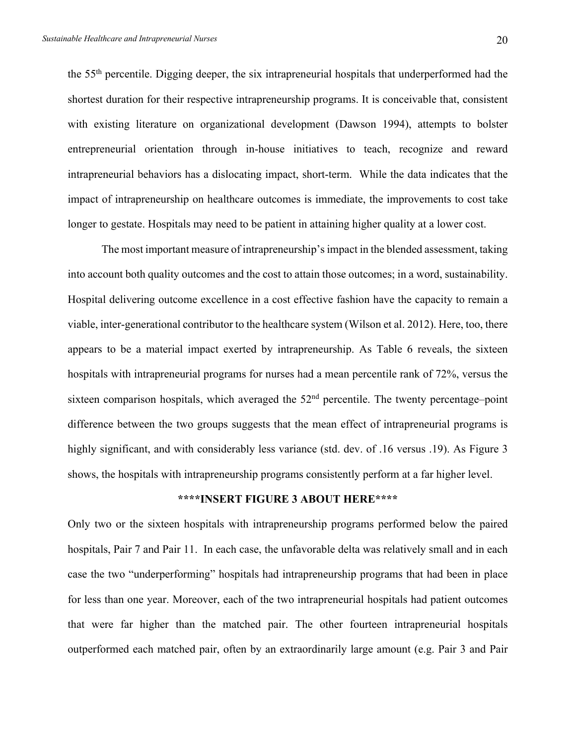the 55th percentile. Digging deeper, the six intrapreneurial hospitals that underperformed had the shortest duration for their respective intrapreneurship programs. It is conceivable that, consistent with existing literature on organizational development (Dawson 1994), attempts to bolster entrepreneurial orientation through in-house initiatives to teach, recognize and reward intrapreneurial behaviors has a dislocating impact, short-term. While the data indicates that the impact of intrapreneurship on healthcare outcomes is immediate, the improvements to cost take longer to gestate. Hospitals may need to be patient in attaining higher quality at a lower cost.

The most important measure of intrapreneurship's impact in the blended assessment, taking into account both quality outcomes and the cost to attain those outcomes; in a word, sustainability. Hospital delivering outcome excellence in a cost effective fashion have the capacity to remain a viable, inter-generational contributor to the healthcare system (Wilson et al. 2012). Here, too, there appears to be a material impact exerted by intrapreneurship. As Table 6 reveals, the sixteen hospitals with intrapreneurial programs for nurses had a mean percentile rank of 72%, versus the sixteen comparison hospitals, which averaged the  $52<sup>nd</sup>$  percentile. The twenty percentage–point difference between the two groups suggests that the mean effect of intrapreneurial programs is highly significant, and with considerably less variance (std. dev. of .16 versus .19). As Figure 3 shows, the hospitals with intrapreneurship programs consistently perform at a far higher level.

### **\*\*\*\*INSERT FIGURE 3 ABOUT HERE\*\*\*\***

Only two or the sixteen hospitals with intrapreneurship programs performed below the paired hospitals, Pair 7 and Pair 11. In each case, the unfavorable delta was relatively small and in each case the two "underperforming" hospitals had intrapreneurship programs that had been in place for less than one year. Moreover, each of the two intrapreneurial hospitals had patient outcomes that were far higher than the matched pair. The other fourteen intrapreneurial hospitals outperformed each matched pair, often by an extraordinarily large amount (e.g. Pair 3 and Pair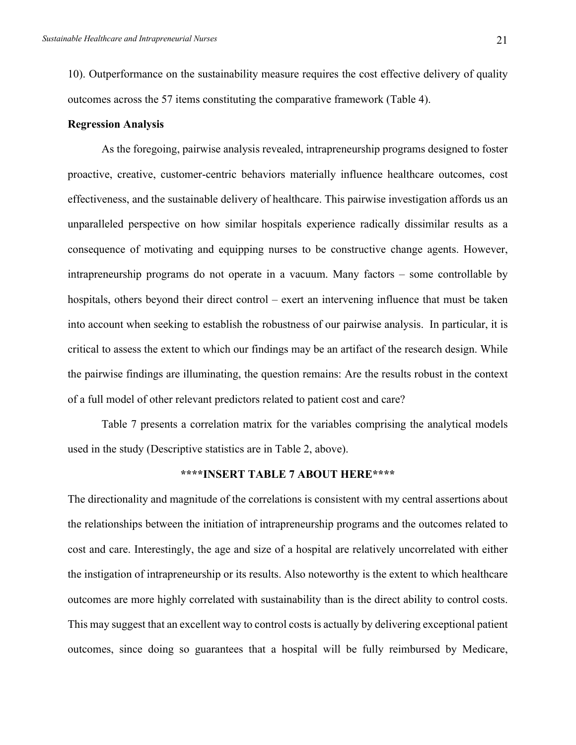10). Outperformance on the sustainability measure requires the cost effective delivery of quality outcomes across the 57 items constituting the comparative framework (Table 4).

### **Regression Analysis**

As the foregoing, pairwise analysis revealed, intrapreneurship programs designed to foster proactive, creative, customer-centric behaviors materially influence healthcare outcomes, cost effectiveness, and the sustainable delivery of healthcare. This pairwise investigation affords us an unparalleled perspective on how similar hospitals experience radically dissimilar results as a consequence of motivating and equipping nurses to be constructive change agents. However, intrapreneurship programs do not operate in a vacuum. Many factors – some controllable by hospitals, others beyond their direct control – exert an intervening influence that must be taken into account when seeking to establish the robustness of our pairwise analysis. In particular, it is critical to assess the extent to which our findings may be an artifact of the research design. While the pairwise findings are illuminating, the question remains: Are the results robust in the context of a full model of other relevant predictors related to patient cost and care?

Table 7 presents a correlation matrix for the variables comprising the analytical models used in the study (Descriptive statistics are in Table 2, above).

### **\*\*\*\*INSERT TABLE 7 ABOUT HERE\*\*\*\***

The directionality and magnitude of the correlations is consistent with my central assertions about the relationships between the initiation of intrapreneurship programs and the outcomes related to cost and care. Interestingly, the age and size of a hospital are relatively uncorrelated with either the instigation of intrapreneurship or its results. Also noteworthy is the extent to which healthcare outcomes are more highly correlated with sustainability than is the direct ability to control costs. This may suggest that an excellent way to control costs is actually by delivering exceptional patient outcomes, since doing so guarantees that a hospital will be fully reimbursed by Medicare,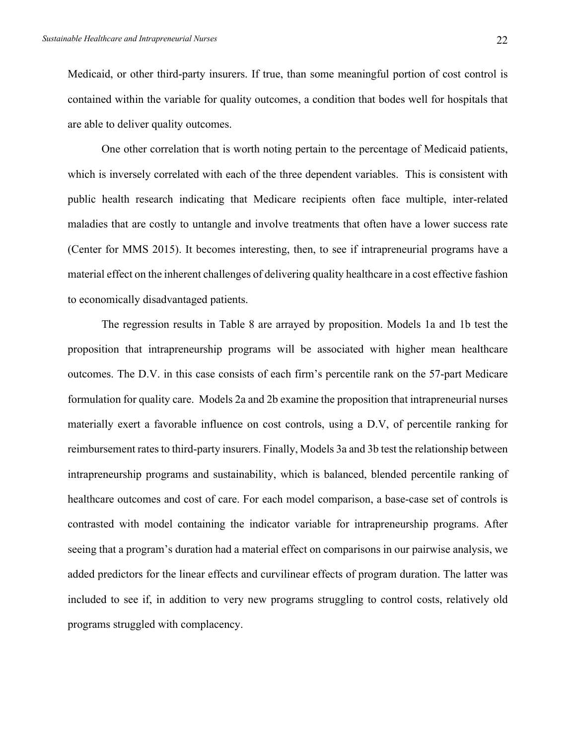Medicaid, or other third-party insurers. If true, than some meaningful portion of cost control is contained within the variable for quality outcomes, a condition that bodes well for hospitals that are able to deliver quality outcomes.

One other correlation that is worth noting pertain to the percentage of Medicaid patients, which is inversely correlated with each of the three dependent variables. This is consistent with public health research indicating that Medicare recipients often face multiple, inter-related maladies that are costly to untangle and involve treatments that often have a lower success rate (Center for MMS 2015). It becomes interesting, then, to see if intrapreneurial programs have a material effect on the inherent challenges of delivering quality healthcare in a cost effective fashion to economically disadvantaged patients.

The regression results in Table 8 are arrayed by proposition. Models 1a and 1b test the proposition that intrapreneurship programs will be associated with higher mean healthcare outcomes. The D.V. in this case consists of each firm's percentile rank on the 57-part Medicare formulation for quality care. Models 2a and 2b examine the proposition that intrapreneurial nurses materially exert a favorable influence on cost controls, using a D.V, of percentile ranking for reimbursement rates to third-party insurers. Finally, Models 3a and 3b test the relationship between intrapreneurship programs and sustainability, which is balanced, blended percentile ranking of healthcare outcomes and cost of care. For each model comparison, a base-case set of controls is contrasted with model containing the indicator variable for intrapreneurship programs. After seeing that a program's duration had a material effect on comparisons in our pairwise analysis, we added predictors for the linear effects and curvilinear effects of program duration. The latter was included to see if, in addition to very new programs struggling to control costs, relatively old programs struggled with complacency.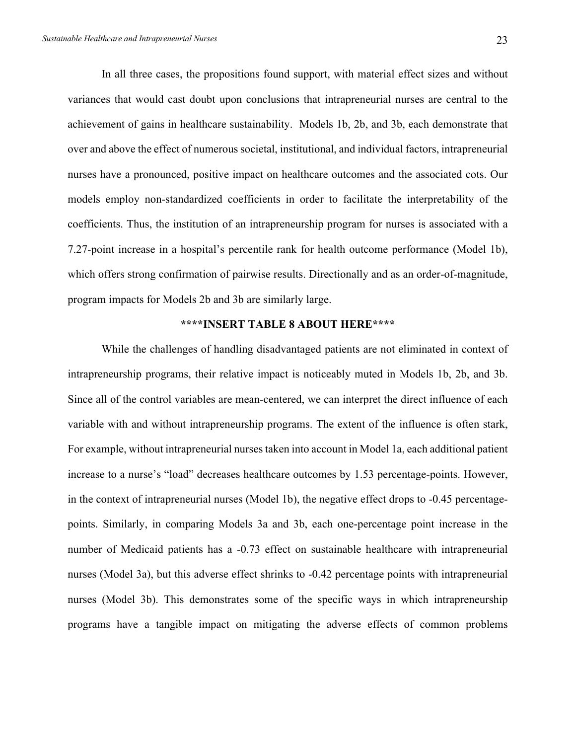In all three cases, the propositions found support, with material effect sizes and without variances that would cast doubt upon conclusions that intrapreneurial nurses are central to the achievement of gains in healthcare sustainability. Models 1b, 2b, and 3b, each demonstrate that over and above the effect of numerous societal, institutional, and individual factors, intrapreneurial nurses have a pronounced, positive impact on healthcare outcomes and the associated cots. Our models employ non-standardized coefficients in order to facilitate the interpretability of the coefficients. Thus, the institution of an intrapreneurship program for nurses is associated with a 7.27-point increase in a hospital's percentile rank for health outcome performance (Model 1b), which offers strong confirmation of pairwise results. Directionally and as an order-of-magnitude, program impacts for Models 2b and 3b are similarly large.

### **\*\*\*\*INSERT TABLE 8 ABOUT HERE\*\*\*\***

While the challenges of handling disadvantaged patients are not eliminated in context of intrapreneurship programs, their relative impact is noticeably muted in Models 1b, 2b, and 3b. Since all of the control variables are mean-centered, we can interpret the direct influence of each variable with and without intrapreneurship programs. The extent of the influence is often stark, For example, without intrapreneurial nurses taken into account in Model 1a, each additional patient increase to a nurse's "load" decreases healthcare outcomes by 1.53 percentage-points. However, in the context of intrapreneurial nurses (Model 1b), the negative effect drops to -0.45 percentagepoints. Similarly, in comparing Models 3a and 3b, each one-percentage point increase in the number of Medicaid patients has a -0.73 effect on sustainable healthcare with intrapreneurial nurses (Model 3a), but this adverse effect shrinks to -0.42 percentage points with intrapreneurial nurses (Model 3b). This demonstrates some of the specific ways in which intrapreneurship programs have a tangible impact on mitigating the adverse effects of common problems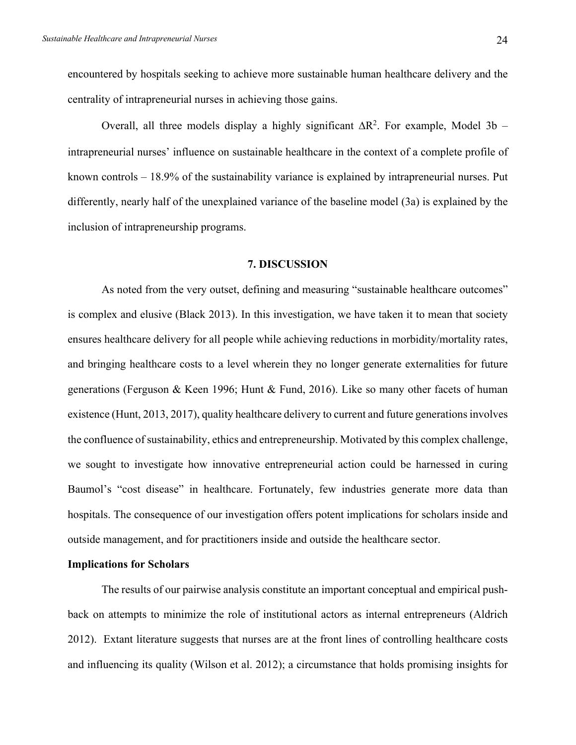encountered by hospitals seeking to achieve more sustainable human healthcare delivery and the centrality of intrapreneurial nurses in achieving those gains.

Overall, all three models display a highly significant  $\Delta R^2$ . For example, Model 3b – intrapreneurial nurses' influence on sustainable healthcare in the context of a complete profile of known controls – 18.9% of the sustainability variance is explained by intrapreneurial nurses. Put differently, nearly half of the unexplained variance of the baseline model (3a) is explained by the inclusion of intrapreneurship programs.

### **7. DISCUSSION**

As noted from the very outset, defining and measuring "sustainable healthcare outcomes" is complex and elusive (Black 2013). In this investigation, we have taken it to mean that society ensures healthcare delivery for all people while achieving reductions in morbidity/mortality rates, and bringing healthcare costs to a level wherein they no longer generate externalities for future generations (Ferguson & Keen 1996; Hunt & Fund, 2016). Like so many other facets of human existence (Hunt, 2013, 2017), quality healthcare delivery to current and future generations involves the confluence of sustainability, ethics and entrepreneurship. Motivated by this complex challenge, we sought to investigate how innovative entrepreneurial action could be harnessed in curing Baumol's "cost disease" in healthcare. Fortunately, few industries generate more data than hospitals. The consequence of our investigation offers potent implications for scholars inside and outside management, and for practitioners inside and outside the healthcare sector.

### **Implications for Scholars**

The results of our pairwise analysis constitute an important conceptual and empirical pushback on attempts to minimize the role of institutional actors as internal entrepreneurs (Aldrich 2012). Extant literature suggests that nurses are at the front lines of controlling healthcare costs and influencing its quality (Wilson et al. 2012); a circumstance that holds promising insights for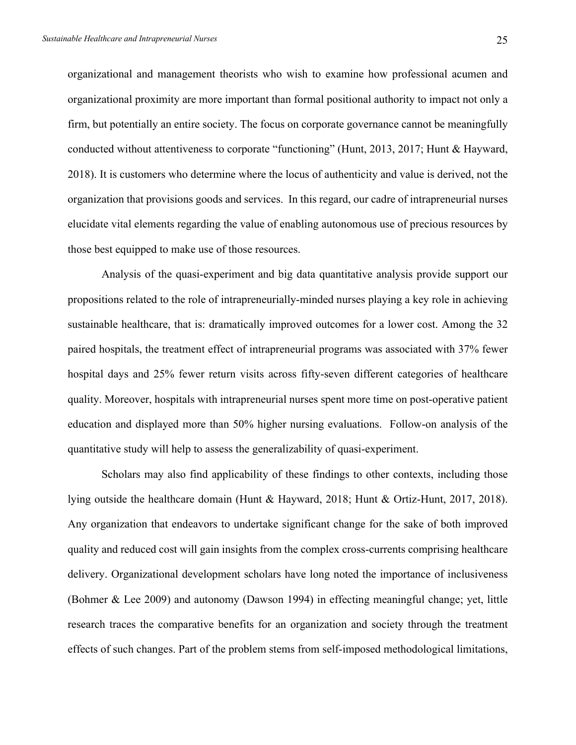organizational and management theorists who wish to examine how professional acumen and organizational proximity are more important than formal positional authority to impact not only a firm, but potentially an entire society. The focus on corporate governance cannot be meaningfully conducted without attentiveness to corporate "functioning" (Hunt, 2013, 2017; Hunt & Hayward, 2018). It is customers who determine where the locus of authenticity and value is derived, not the organization that provisions goods and services. In this regard, our cadre of intrapreneurial nurses elucidate vital elements regarding the value of enabling autonomous use of precious resources by those best equipped to make use of those resources.

Analysis of the quasi-experiment and big data quantitative analysis provide support our propositions related to the role of intrapreneurially-minded nurses playing a key role in achieving sustainable healthcare, that is: dramatically improved outcomes for a lower cost. Among the 32 paired hospitals, the treatment effect of intrapreneurial programs was associated with 37% fewer hospital days and 25% fewer return visits across fifty-seven different categories of healthcare quality. Moreover, hospitals with intrapreneurial nurses spent more time on post-operative patient education and displayed more than 50% higher nursing evaluations. Follow-on analysis of the quantitative study will help to assess the generalizability of quasi-experiment.

Scholars may also find applicability of these findings to other contexts, including those lying outside the healthcare domain (Hunt & Hayward, 2018; Hunt & Ortiz-Hunt, 2017, 2018). Any organization that endeavors to undertake significant change for the sake of both improved quality and reduced cost will gain insights from the complex cross-currents comprising healthcare delivery. Organizational development scholars have long noted the importance of inclusiveness (Bohmer & Lee 2009) and autonomy (Dawson 1994) in effecting meaningful change; yet, little research traces the comparative benefits for an organization and society through the treatment effects of such changes. Part of the problem stems from self-imposed methodological limitations,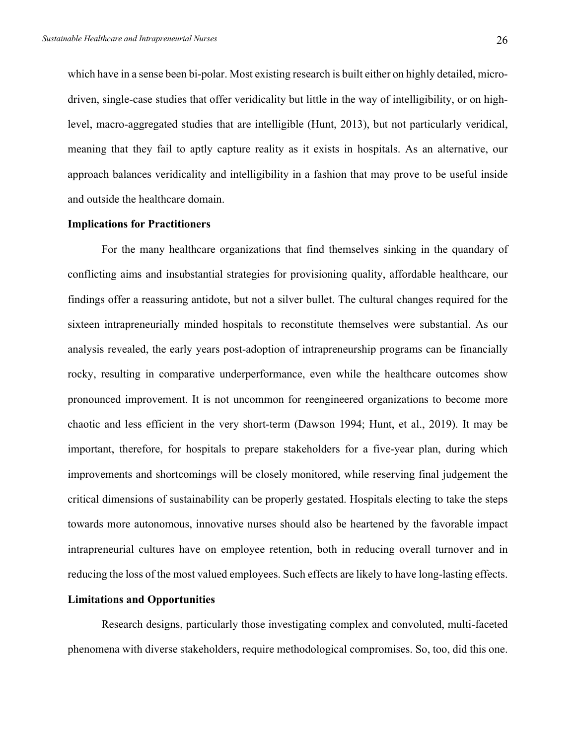which have in a sense been bi-polar. Most existing research is built either on highly detailed, microdriven, single-case studies that offer veridicality but little in the way of intelligibility, or on highlevel, macro-aggregated studies that are intelligible (Hunt, 2013), but not particularly veridical, meaning that they fail to aptly capture reality as it exists in hospitals. As an alternative, our approach balances veridicality and intelligibility in a fashion that may prove to be useful inside and outside the healthcare domain.

### **Implications for Practitioners**

For the many healthcare organizations that find themselves sinking in the quandary of conflicting aims and insubstantial strategies for provisioning quality, affordable healthcare, our findings offer a reassuring antidote, but not a silver bullet. The cultural changes required for the sixteen intrapreneurially minded hospitals to reconstitute themselves were substantial. As our analysis revealed, the early years post-adoption of intrapreneurship programs can be financially rocky, resulting in comparative underperformance, even while the healthcare outcomes show pronounced improvement. It is not uncommon for reengineered organizations to become more chaotic and less efficient in the very short-term (Dawson 1994; Hunt, et al., 2019). It may be important, therefore, for hospitals to prepare stakeholders for a five-year plan, during which improvements and shortcomings will be closely monitored, while reserving final judgement the critical dimensions of sustainability can be properly gestated. Hospitals electing to take the steps towards more autonomous, innovative nurses should also be heartened by the favorable impact intrapreneurial cultures have on employee retention, both in reducing overall turnover and in reducing the loss of the most valued employees. Such effects are likely to have long-lasting effects.

### **Limitations and Opportunities**

Research designs, particularly those investigating complex and convoluted, multi-faceted phenomena with diverse stakeholders, require methodological compromises. So, too, did this one.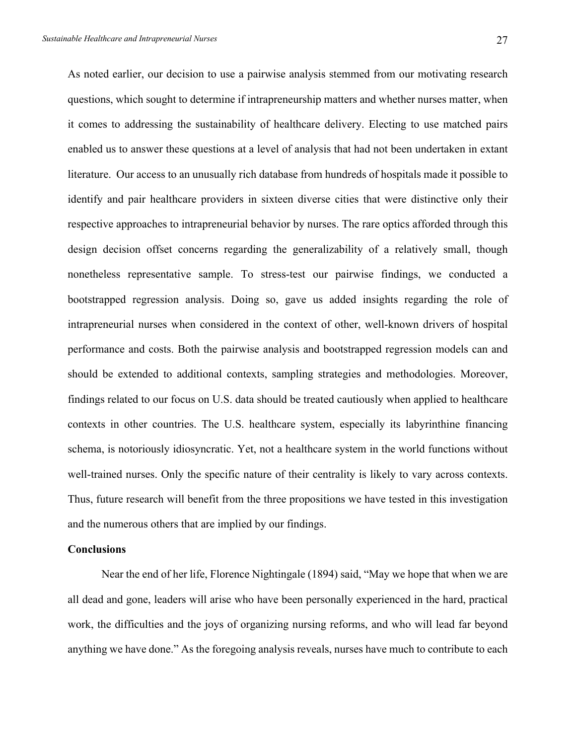As noted earlier, our decision to use a pairwise analysis stemmed from our motivating research questions, which sought to determine if intrapreneurship matters and whether nurses matter, when it comes to addressing the sustainability of healthcare delivery. Electing to use matched pairs enabled us to answer these questions at a level of analysis that had not been undertaken in extant literature. Our access to an unusually rich database from hundreds of hospitals made it possible to identify and pair healthcare providers in sixteen diverse cities that were distinctive only their respective approaches to intrapreneurial behavior by nurses. The rare optics afforded through this design decision offset concerns regarding the generalizability of a relatively small, though nonetheless representative sample. To stress-test our pairwise findings, we conducted a bootstrapped regression analysis. Doing so, gave us added insights regarding the role of intrapreneurial nurses when considered in the context of other, well-known drivers of hospital performance and costs. Both the pairwise analysis and bootstrapped regression models can and should be extended to additional contexts, sampling strategies and methodologies. Moreover, findings related to our focus on U.S. data should be treated cautiously when applied to healthcare contexts in other countries. The U.S. healthcare system, especially its labyrinthine financing schema, is notoriously idiosyncratic. Yet, not a healthcare system in the world functions without well-trained nurses. Only the specific nature of their centrality is likely to vary across contexts. Thus, future research will benefit from the three propositions we have tested in this investigation and the numerous others that are implied by our findings.

### **Conclusions**

Near the end of her life, Florence Nightingale (1894) said, "May we hope that when we are all dead and gone, leaders will arise who have been personally experienced in the hard, practical work, the difficulties and the joys of organizing nursing reforms, and who will lead far beyond anything we have done." As the foregoing analysis reveals, nurses have much to contribute to each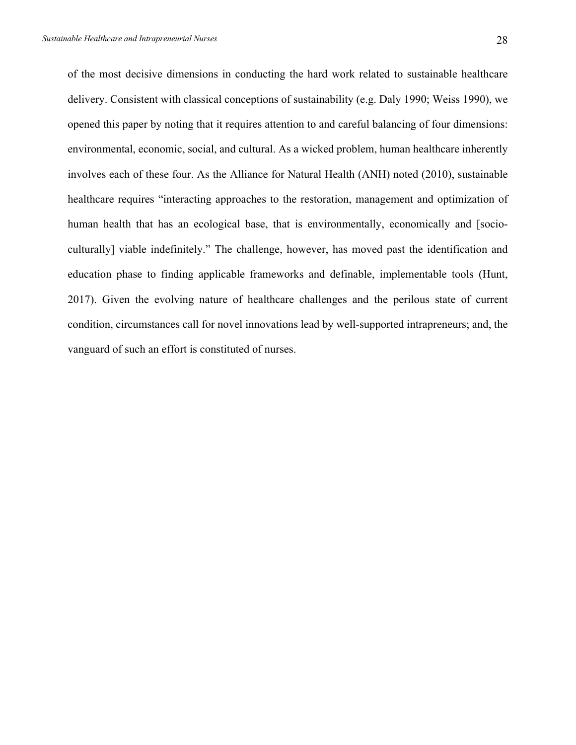of the most decisive dimensions in conducting the hard work related to sustainable healthcare delivery. Consistent with classical conceptions of sustainability (e.g. Daly 1990; Weiss 1990), we opened this paper by noting that it requires attention to and careful balancing of four dimensions: environmental, economic, social, and cultural. As a wicked problem, human healthcare inherently involves each of these four. As the Alliance for Natural Health (ANH) noted (2010), sustainable healthcare requires "interacting approaches to the restoration, management and optimization of human health that has an ecological base, that is environmentally, economically and [socioculturally] viable indefinitely." The challenge, however, has moved past the identification and education phase to finding applicable frameworks and definable, implementable tools (Hunt, 2017). Given the evolving nature of healthcare challenges and the perilous state of current condition, circumstances call for novel innovations lead by well-supported intrapreneurs; and, the vanguard of such an effort is constituted of nurses.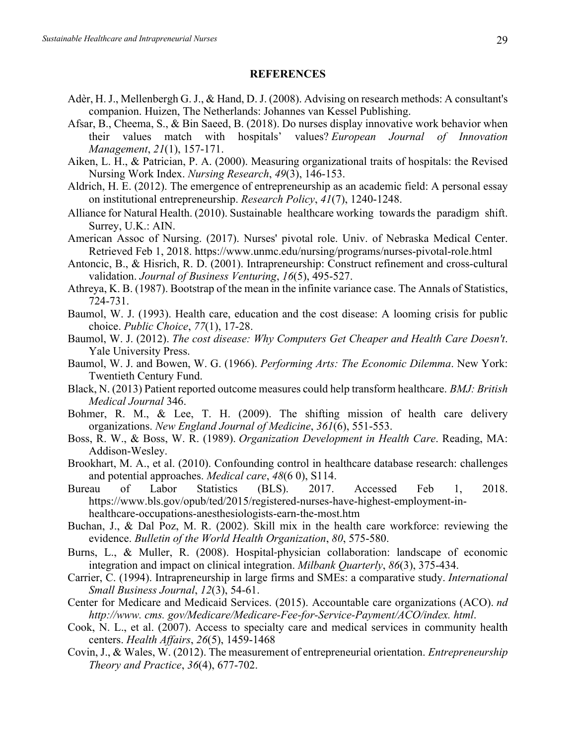#### **REFERENCES**

- Adèr, H. J., Mellenbergh G. J., & Hand, D. J. (2008). Advising on research methods: A consultant's companion. Huizen, The Netherlands: Johannes van Kessel Publishing.
- Afsar, B., Cheema, S., & Bin Saeed, B. (2018). Do nurses display innovative work behavior when their values match with hospitals' values? *European Journal of Innovation Management*, *21*(1), 157-171.
- Aiken, L. H., & Patrician, P. A. (2000). Measuring organizational traits of hospitals: the Revised Nursing Work Index. *Nursing Research*, *49*(3), 146-153.
- Aldrich, H. E. (2012). The emergence of entrepreneurship as an academic field: A personal essay on institutional entrepreneurship. *Research Policy*, *41*(7), 1240-1248.
- Alliance for Natural Health. (2010). Sustainable healthcare working towards the paradigm shift. Surrey, U.K.: AIN.
- American Assoc of Nursing. (2017). Nurses' pivotal role. Univ. of Nebraska Medical Center. Retrieved Feb 1, 2018. https://www.unmc.edu/nursing/programs/nurses-pivotal-role.html
- Antoncic, B., & Hisrich, R. D. (2001). Intrapreneurship: Construct refinement and cross-cultural validation. *Journal of Business Venturing*, *16*(5), 495-527.
- Athreya, K. B. (1987). Bootstrap of the mean in the infinite variance case. The Annals of Statistics, 724-731.
- Baumol, W. J. (1993). Health care, education and the cost disease: A looming crisis for public choice. *Public Choice*, *77*(1), 17-28.
- Baumol, W. J. (2012). *The cost disease: Why Computers Get Cheaper and Health Care Doesn't*. Yale University Press.
- Baumol, W. J. and Bowen, W. G. (1966). *Performing Arts: The Economic Dilemma*. New York: Twentieth Century Fund.
- Black, N. (2013) Patient reported outcome measures could help transform healthcare. *BMJ: British Medical Journal* 346.
- Bohmer, R. M., & Lee, T. H. (2009). The shifting mission of health care delivery organizations. *New England Journal of Medicine*, *361*(6), 551-553.
- Boss, R. W., & Boss, W. R. (1989). *Organization Development in Health Care*. Reading, MA: Addison-Wesley.
- Brookhart, M. A., et al. (2010). Confounding control in healthcare database research: challenges and potential approaches. *Medical care*, *48*(6 0), S114.
- Bureau of Labor Statistics (BLS). 2017. Accessed Feb 1, 2018. https://www.bls.gov/opub/ted/2015/registered-nurses-have-highest-employment-inhealthcare-occupations-anesthesiologists-earn-the-most.htm
- Buchan, J., & Dal Poz, M. R. (2002). Skill mix in the health care workforce: reviewing the evidence. *Bulletin of the World Health Organization*, *80*, 575-580.
- Burns, L., & Muller, R. (2008). Hospital-physician collaboration: landscape of economic integration and impact on clinical integration. *Milbank Quarterly*, *86*(3), 375-434.
- Carrier, C. (1994). Intrapreneurship in large firms and SMEs: a comparative study. *International Small Business Journal*, *12*(3), 54-61.
- Center for Medicare and Medicaid Services. (2015). Accountable care organizations (ACO). *nd http://www. cms. gov/Medicare/Medicare-Fee-for-Service-Payment/ACO/index. html*.
- Cook, N. L., et al. (2007). Access to specialty care and medical services in community health centers. *Health Affairs*, *26*(5), 1459-1468
- Covin, J., & Wales, W. (2012). The measurement of entrepreneurial orientation. *Entrepreneurship Theory and Practice*, *36*(4), 677-702.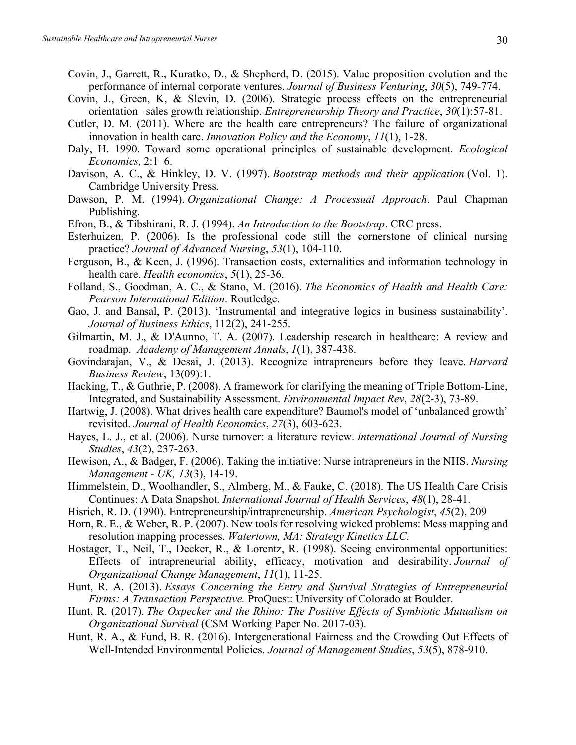- Covin, J., Garrett, R., Kuratko, D., & Shepherd, D. (2015). Value proposition evolution and the performance of internal corporate ventures. *Journal of Business Venturing*, *30*(5), 749-774.
- Covin, J., Green, K, & Slevin, D. (2006). Strategic process effects on the entrepreneurial orientation– sales growth relationship. *Entrepreneurship Theory and Practice*, *30*(1):57-81.
- Cutler, D. M. (2011). Where are the health care entrepreneurs? The failure of organizational innovation in health care. *Innovation Policy and the Economy*, *11*(1), 1-28.
- Daly, H. 1990. Toward some operational principles of sustainable development. *Ecological Economics,* 2:1–6.
- Davison, A. C., & Hinkley, D. V. (1997). *Bootstrap methods and their application* (Vol. 1). Cambridge University Press.
- Dawson, P. M. (1994). *Organizational Change: A Processual Approach*. Paul Chapman Publishing.
- Efron, B., & Tibshirani, R. J. (1994). *An Introduction to the Bootstrap*. CRC press.
- Esterhuizen, P. (2006). Is the professional code still the cornerstone of clinical nursing practice? *Journal of Advanced Nursing*, *53*(1), 104-110.
- Ferguson, B., & Keen, J. (1996). Transaction costs, externalities and information technology in health care. *Health economics*, *5*(1), 25-36.
- Folland, S., Goodman, A. C., & Stano, M. (2016). *The Economics of Health and Health Care: Pearson International Edition*. Routledge.
- Gao, J. and Bansal, P. (2013). 'Instrumental and integrative logics in business sustainability'. *Journal of Business Ethics*, 112(2), 241-255.
- Gilmartin, M. J., & D'Aunno, T. A. (2007). Leadership research in healthcare: A review and roadmap. *Academy of Management Annals*, *1*(1), 387-438.
- Govindarajan, V., & Desai, J. (2013). Recognize intrapreneurs before they leave. *Harvard Business Review*, 13(09):1.
- Hacking, T., & Guthrie, P. (2008). A framework for clarifying the meaning of Triple Bottom-Line, Integrated, and Sustainability Assessment. *Environmental Impact Rev*, *28*(2-3), 73-89.
- Hartwig, J. (2008). What drives health care expenditure? Baumol's model of 'unbalanced growth' revisited. *Journal of Health Economics*, *27*(3), 603-623.
- Hayes, L. J., et al. (2006). Nurse turnover: a literature review. *International Journal of Nursing Studies*, *43*(2), 237-263.
- Hewison, A., & Badger, F. (2006). Taking the initiative: Nurse intrapreneurs in the NHS. *Nursing Management - UK, 13*(3), 14-19.
- Himmelstein, D., Woolhandler, S., Almberg, M., & Fauke, C. (2018). The US Health Care Crisis Continues: A Data Snapshot. *International Journal of Health Services*, *48*(1), 28-41.
- Hisrich, R. D. (1990). Entrepreneurship/intrapreneurship. *American Psychologist*, *45*(2), 209
- Horn, R. E., & Weber, R. P. (2007). New tools for resolving wicked problems: Mess mapping and resolution mapping processes. *Watertown, MA: Strategy Kinetics LLC*.
- Hostager, T., Neil, T., Decker, R., & Lorentz, R. (1998). Seeing environmental opportunities: Effects of intrapreneurial ability, efficacy, motivation and desirability. *Journal of Organizational Change Management*, *11*(1), 11-25.
- Hunt, R. A. (2013). *Essays Concerning the Entry and Survival Strategies of Entrepreneurial Firms: A Transaction Perspective.* ProQuest: University of Colorado at Boulder.
- Hunt, R. (2017). *The Oxpecker and the Rhino: The Positive Effects of Symbiotic Mutualism on Organizational Survival* (CSM Working Paper No. 2017-03).
- Hunt, R. A., & Fund, B. R. (2016). Intergenerational Fairness and the Crowding Out Effects of Well-Intended Environmental Policies. *Journal of Management Studies*, *53*(5), 878-910.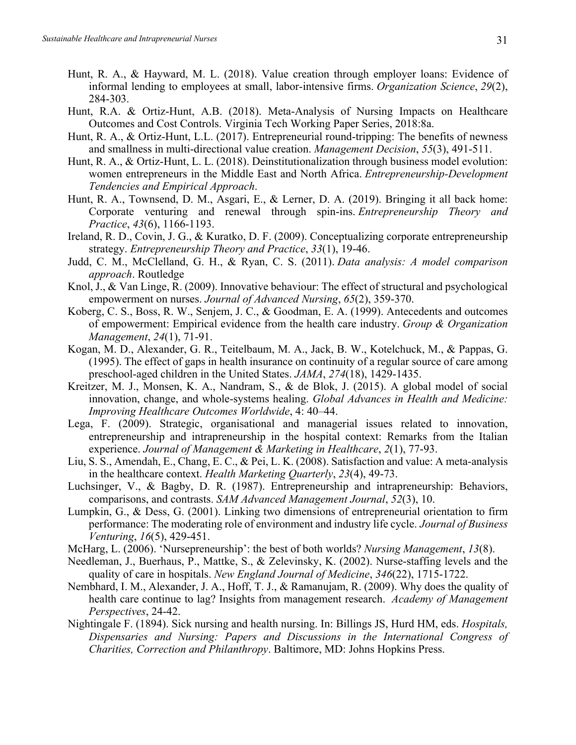- Hunt, R. A., & Hayward, M. L. (2018). Value creation through employer loans: Evidence of informal lending to employees at small, labor-intensive firms. *Organization Science*, *29*(2), 284-303.
- Hunt, R.A. & Ortiz-Hunt, A.B. (2018). Meta-Analysis of Nursing Impacts on Healthcare Outcomes and Cost Controls. Virginia Tech Working Paper Series, 2018:8a.
- Hunt, R. A., & Ortiz-Hunt, L.L. (2017). Entrepreneurial round-tripping: The benefits of newness and smallness in multi-directional value creation. *Management Decision*, *55*(3), 491-511.
- Hunt, R. A., & Ortiz-Hunt, L. L. (2018). Deinstitutionalization through business model evolution: women entrepreneurs in the Middle East and North Africa. *Entrepreneurship-Development Tendencies and Empirical Approach*.
- Hunt, R. A., Townsend, D. M., Asgari, E., & Lerner, D. A. (2019). Bringing it all back home: Corporate venturing and renewal through spin-ins. *Entrepreneurship Theory and Practice*, *43*(6), 1166-1193.
- Ireland, R. D., Covin, J. G., & Kuratko, D. F. (2009). Conceptualizing corporate entrepreneurship strategy. *Entrepreneurship Theory and Practice*, *33*(1), 19-46.
- Judd, C. M., McClelland, G. H., & Ryan, C. S. (2011). *Data analysis: A model comparison approach*. Routledge
- Knol, J., & Van Linge, R. (2009). Innovative behaviour: The effect of structural and psychological empowerment on nurses. *Journal of Advanced Nursing*, *65*(2), 359-370.
- Koberg, C. S., Boss, R. W., Senjem, J. C., & Goodman, E. A. (1999). Antecedents and outcomes of empowerment: Empirical evidence from the health care industry. *Group & Organization Management*, *24*(1), 71-91.
- Kogan, M. D., Alexander, G. R., Teitelbaum, M. A., Jack, B. W., Kotelchuck, M., & Pappas, G. (1995). The effect of gaps in health insurance on continuity of a regular source of care among preschool-aged children in the United States. *JAMA*, *274*(18), 1429-1435.
- Kreitzer, M. J., Monsen, K. A., Nandram, S., & de Blok, J. (2015). A global model of social innovation, change, and whole-systems healing. *Global Advances in Health and Medicine: Improving Healthcare Outcomes Worldwide*, 4: 40–44.
- Lega, F. (2009). Strategic, organisational and managerial issues related to innovation, entrepreneurship and intrapreneurship in the hospital context: Remarks from the Italian experience. *Journal of Management & Marketing in Healthcare*, *2*(1), 77-93.
- Liu, S. S., Amendah, E., Chang, E. C., & Pei, L. K. (2008). Satisfaction and value: A meta-analysis in the healthcare context. *Health Marketing Quarterly*, *23*(4), 49-73.
- Luchsinger, V., & Bagby, D. R. (1987). Entrepreneurship and intrapreneurship: Behaviors, comparisons, and contrasts. *SAM Advanced Management Journal*, *52*(3), 10.
- Lumpkin, G., & Dess, G. (2001). Linking two dimensions of entrepreneurial orientation to firm performance: The moderating role of environment and industry life cycle. *Journal of Business Venturing*, *16*(5), 429-451.
- McHarg, L. (2006). 'Nursepreneurship': the best of both worlds? *Nursing Management*, *13*(8).
- Needleman, J., Buerhaus, P., Mattke, S., & Zelevinsky, K. (2002). Nurse-staffing levels and the quality of care in hospitals. *New England Journal of Medicine*, *346*(22), 1715-1722.
- Nembhard, I. M., Alexander, J. A., Hoff, T. J., & Ramanujam, R. (2009). Why does the quality of health care continue to lag? Insights from management research. *Academy of Management Perspectives*, 24-42.
- Nightingale F. (1894). Sick nursing and health nursing. In: Billings JS, Hurd HM, eds. *Hospitals, Dispensaries and Nursing: Papers and Discussions in the International Congress of Charities, Correction and Philanthropy*. Baltimore, MD: Johns Hopkins Press.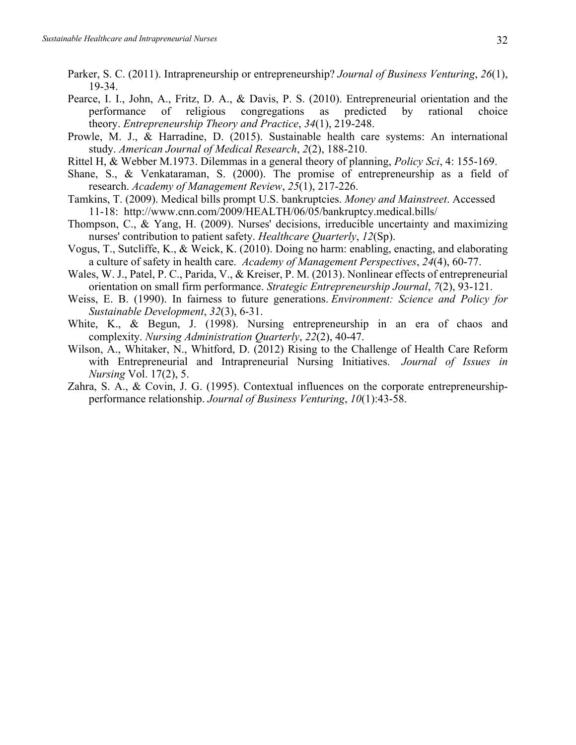- Parker, S. C. (2011). Intrapreneurship or entrepreneurship? *Journal of Business Venturing*, *26*(1), 19-34.
- Pearce, I. I., John, A., Fritz, D. A., & Davis, P. S. (2010). Entrepreneurial orientation and the performance of religious congregations as predicted by rational choice theory. *Entrepreneurship Theory and Practice*, *34*(1), 219-248.
- Prowle, M. J., & Harradine, D. (2015). Sustainable health care systems: An international study. *American Journal of Medical Research*, *2*(2), 188-210.
- Rittel H, & Webber M.1973. Dilemmas in a general theory of planning, *Policy Sci*, 4: 155-169.
- Shane, S., & Venkataraman, S. (2000). The promise of entrepreneurship as a field of research. *Academy of Management Review*, *25*(1), 217-226.
- Tamkins, T. (2009). Medical bills prompt U.S. bankruptcies. *Money and Mainstreet*. Accessed 11-18: http://www.cnn.com/2009/HEALTH/06/05/bankruptcy.medical.bills/
- Thompson, C., & Yang, H. (2009). Nurses' decisions, irreducible uncertainty and maximizing nurses' contribution to patient safety. *Healthcare Quarterly*, *12*(Sp).
- Vogus, T., Sutcliffe, K., & Weick, K. (2010). Doing no harm: enabling, enacting, and elaborating a culture of safety in health care. *Academy of Management Perspectives*, *24*(4), 60-77.
- Wales, W. J., Patel, P. C., Parida, V., & Kreiser, P. M. (2013). Nonlinear effects of entrepreneurial orientation on small firm performance. *Strategic Entrepreneurship Journal*, *7*(2), 93-121.
- Weiss, E. B. (1990). In fairness to future generations. *Environment: Science and Policy for Sustainable Development*, *32*(3), 6-31.
- White, K., & Begun, J. (1998). Nursing entrepreneurship in an era of chaos and complexity. *Nursing Administration Quarterly*, *22*(2), 40-47.
- Wilson, A., Whitaker, N., Whitford, D. (2012) Rising to the Challenge of Health Care Reform with Entrepreneurial and Intrapreneurial Nursing Initiatives. *Journal of Issues in Nursing* Vol. 17(2), 5.
- Zahra, S. A., & Covin, J. G. (1995). Contextual influences on the corporate entrepreneurshipperformance relationship. *Journal of Business Venturing*, *10*(1):43-58.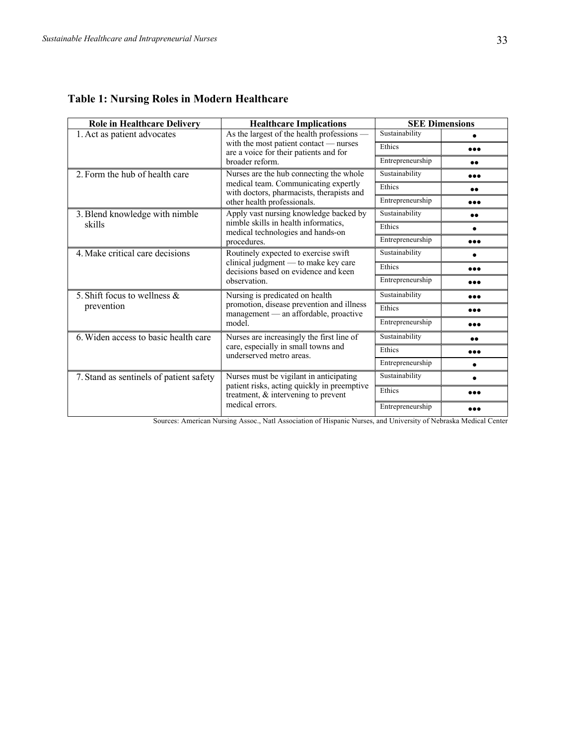| <b>Role in Healthcare Delivery</b>      | <b>Healthcare Implications</b>                                                       |                  | <b>SEE Dimensions</b>   |
|-----------------------------------------|--------------------------------------------------------------------------------------|------------------|-------------------------|
| 1. Act as patient advocates             | As the largest of the health professions —                                           | Sustainability   |                         |
|                                         | with the most patient contact - nurses<br>are a voice for their patients and for     | Ethics           | $\bullet\bullet\bullet$ |
|                                         | broader reform.                                                                      | Entrepreneurship | $\bullet\bullet$        |
| 2. Form the hub of health care          | Nurses are the hub connecting the whole                                              | Sustainability   |                         |
|                                         | medical team. Communicating expertly<br>with doctors, pharmacists, therapists and    | Ethics           |                         |
|                                         | other health professionals.                                                          | Entrepreneurship | $\bullet\bullet\bullet$ |
| 3. Blend knowledge with nimble          | Apply vast nursing knowledge backed by                                               | Sustainability   | $\bullet\bullet$        |
| skills                                  | nimble skills in health informatics,<br>medical technologies and hands-on            | Ethics           | $\bullet$               |
|                                         | procedures.                                                                          | Entrepreneurship | $\bullet\bullet\bullet$ |
| 4. Make critical care decisions         | Routinely expected to exercise swift                                                 | Sustainability   | $\bullet$               |
|                                         | clinical judgment — to make key care<br>decisions based on evidence and keen         | Ethics           | $\bullet\bullet\bullet$ |
|                                         | observation.                                                                         | Entrepreneurship | $\bullet\bullet\bullet$ |
| 5. Shift focus to wellness $\&$         | Nursing is predicated on health                                                      | Sustainability   |                         |
| prevention                              | promotion, disease prevention and illness<br>management - an affordable, proactive   | Ethics           | $\bullet\bullet\bullet$ |
|                                         | model.                                                                               | Entrepreneurship | $\bullet\bullet\bullet$ |
| 6. Widen access to basic health care    | Nurses are increasingly the first line of                                            | Sustainability   | $\bullet\bullet$        |
|                                         | care, especially in small towns and<br>underserved metro areas.                      | Ethics           | $\bullet\bullet\bullet$ |
|                                         |                                                                                      | Entrepreneurship |                         |
| 7. Stand as sentinels of patient safety | Nurses must be vigilant in anticipating                                              | Sustainability   |                         |
|                                         | patient risks, acting quickly in preemptive<br>treatment, $&$ intervening to prevent | Ethics           | $\bullet\bullet\bullet$ |
|                                         | medical errors.                                                                      | Entrepreneurship | $\bullet\bullet\bullet$ |

## **Table 1: Nursing Roles in Modern Healthcare**

Sources: American Nursing Assoc., Natl Association of Hispanic Nurses, and University of Nebraska Medical Center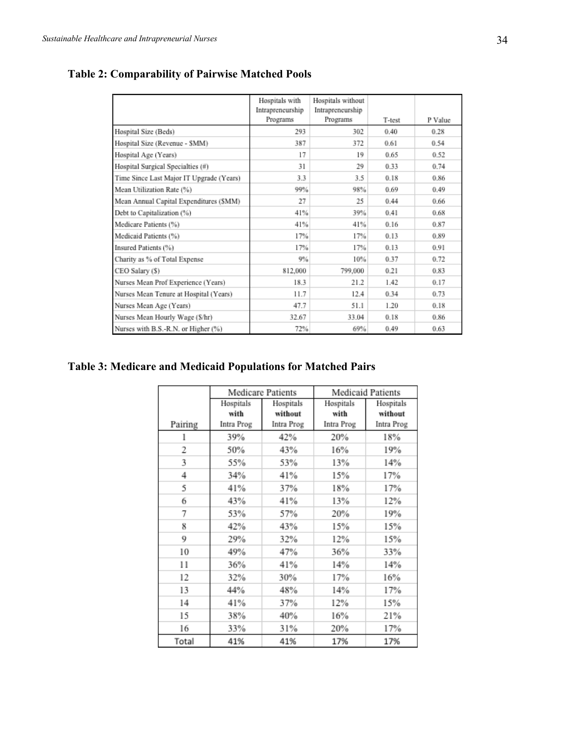|                                          | Hospitals with<br>Intrapreneurship<br>Programs | Hospitals without<br>Intrapreneurship<br>Programs | T-test | P Value |
|------------------------------------------|------------------------------------------------|---------------------------------------------------|--------|---------|
| Hospital Size (Beds)                     | 293                                            | 302                                               | 0.40   | 0.28    |
| Hospital Size (Revenue - \$MM)           | 387                                            | 372                                               | 0.61   | 0.54    |
| Hospital Age (Years)                     | 17                                             | 19                                                | 0.65   | 0.52    |
| Hospital Surgical Specialties (#)        | 31                                             | 29                                                | 0.33   | 0.74    |
| Time Since Last Major IT Upgrade (Years) | 3.3                                            | 3.5                                               | 0.18   | 0.86    |
| Mean Utilization Rate (%)                | 99%                                            | 98%                                               | 0.69   | 0.49    |
| Mean Annual Capital Expenditures (\$MM)  | 27                                             | 25                                                | 0.44   | 0.66    |
| Debt to Capitalization (%)               | 41%                                            | 39%                                               | 0.41   | 0.68    |
| Medicare Patients (%)                    | 41%                                            | 41%                                               | 0.16   | 0.87    |
| Medicaid Patients (%)                    | 17%                                            | 17%                                               | 0.13   | 0.89    |
| Insured Patients (%)                     | 17%                                            | 17%                                               | 0.13   | 0.91    |
| Charity as % of Total Expense            | 9%                                             | 10%                                               | 0.37   | 0.72    |
| CEO Salary (\$)                          | 812,000                                        | 799,000                                           | 0.21   | 0.83    |
| Nurses Mean Prof Experience (Years)      | 18.3                                           | 21.2                                              | 1.42   | 0.17    |
| Nurses Mean Tenure at Hospital (Years)   | 11.7                                           | 12.4                                              | 0.34   | 0.73    |
| Nurses Mean Age (Years)                  | 47.7                                           | 51.1                                              | 1.20   | 0.18    |
| Nurses Mean Hourly Wage (\$/hr)          | 32.67                                          | 33.04                                             | 0.18   | 0.86    |
| Nurses with B.S.-R.N. or Higher (%)      | 72%                                            | 69%                                               | 0.49   | 0.63    |

## **Table 2: Comparability of Pairwise Matched Pools**

## **Table 3: Medicare and Medicaid Populations for Matched Pairs**

|         |            | Medicare Patients |            | Medicaid Patients |
|---------|------------|-------------------|------------|-------------------|
|         | Hospitals  | Hospitals         | Hospitals  | Hospitals         |
|         | with       | without           | with       | without           |
| Pairing | Intra Prog | Intra Prog        | Intra Prog | Intra Prog        |
| l       | 39%        | 42%               | 20%        | 18%               |
| 2       | 50%        | 43%               | 16%        | 19%               |
| 3       | 55%        | 53%               | 13%        | 14%               |
| 4       | 34%        | 41%               | 15%        | 17%               |
| 5       | 41%        | 37%               | 18%        | 17%               |
| 6       | 43%        | 41%               | 13%        | 12%               |
| 7       | 53%        | 57%               | 20%        | 19%               |
| 8       | 42%        | 43%               | 15%        | 15%               |
| 9       | 29%        | 32%               | 12%        | 15%               |
| 10      | 49%        | 47%               | 36%        | 33%               |
| 11      | 36%        | 41%               | 14%        | 14%               |
| 12      | 32%        | 30%               | 17%        | 16%               |
| 13      | 44%        | 48%               | 14%        | 17%               |
| 14      | 41%        | 37%               | 12%        | 15%               |
| 15      | 38%        | 40%               | 16%        | 21%               |
| 16      | 33%        | 31%               | 20%        | 17%               |
| Total   | 41%        | 41%               | 17%        | 17%               |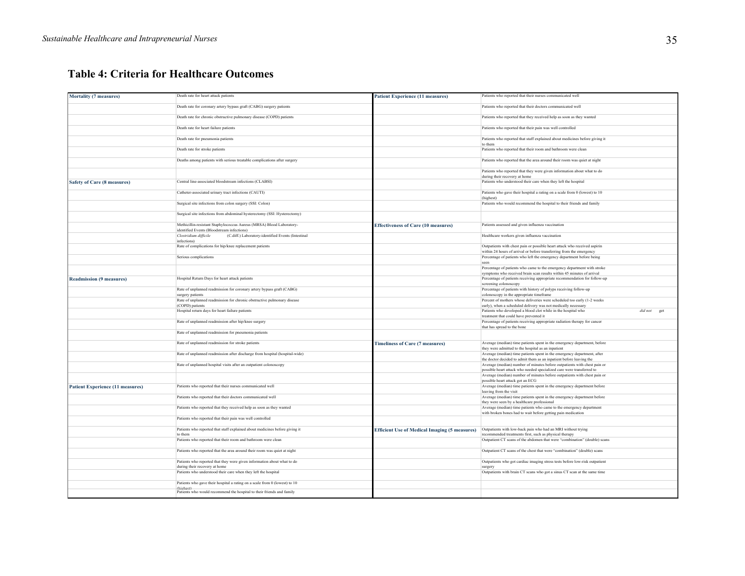## **Table 4: Criteria for Healthcare Outcomes**

| <b>Mortality (7 measures)</b>           | Death rate for heart attack patients                                                                               | <b>Patient Experience (11 measures)</b>              | Patients who reported that their nurses communicated well                                                                                          |
|-----------------------------------------|--------------------------------------------------------------------------------------------------------------------|------------------------------------------------------|----------------------------------------------------------------------------------------------------------------------------------------------------|
|                                         | Death rate for coronary artery bypass graft (CABG) surgery patients                                                |                                                      | Patients who reported that their doctors communicated well                                                                                         |
|                                         | Death rate for chronic obstructive pulmonary disease (COPD) patients                                               |                                                      | Patients who reported that they received help as soon as they wanted                                                                               |
|                                         | Death rate for heart failure patients                                                                              |                                                      | Patients who reported that their pain was well controlled                                                                                          |
|                                         | Death rate for pneumonia patients                                                                                  |                                                      | Patients who reported that staff explained about medicines before giving it<br>to them                                                             |
|                                         | Death rate for stroke patients                                                                                     |                                                      | Patients who reported that their room and bathroom were clean                                                                                      |
|                                         | Deaths among patients with serious treatable complications after surgery                                           |                                                      | Patients who reported that the area around their room was quiet at night                                                                           |
|                                         |                                                                                                                    |                                                      | Patients who reported that they were given information about what to do<br>during their recovery at home                                           |
| Safety of Care (8 measures)             | Central line-associated bloodstream infections (CLABSI)                                                            |                                                      | Patients who understood their care when they left the hospital                                                                                     |
|                                         | Catheter-associated urinary tract infections (CAUTI)                                                               |                                                      | Patients who gave their hospital a rating on a scale from 0 (lowest) to 10<br>(highest)                                                            |
|                                         | Surgical site infections from colon surgery (SSI: Colon)                                                           |                                                      | Patients who would recommend the hospital to their friends and family                                                                              |
|                                         | Surgical site infections from abdominal hysterectomy (SSI: Hysterectomy)                                           |                                                      |                                                                                                                                                    |
|                                         | Methicillin-resistant Staphylococcus Aureus (MRSA) Blood Laboratory-<br>identified Events (Bloodstream infections) | <b>Effectiveness of Care (10 measures)</b>           | Patients assessed and given influenza vaccination                                                                                                  |
|                                         | Clostridium difficile<br>(C.diff.) Laboratory-identified Events (Intestinal<br>infections)                         |                                                      | Healthcare workers given influenza vaccination                                                                                                     |
|                                         | Rate of complications for hip/knee replacement patients                                                            |                                                      | Outpatients with chest pain or possible heart attack who received aspirin                                                                          |
|                                         | Serious complications                                                                                              |                                                      | within 24 hours of arrival or before transferring from the emergency<br>Percentage of patients who left the emergency department before being      |
|                                         |                                                                                                                    |                                                      | seen                                                                                                                                               |
|                                         |                                                                                                                    |                                                      | Percentage of patients who came to the emergency department with stroke                                                                            |
|                                         | Hospital Return Days for heart attack patients                                                                     |                                                      | symptoms who received brain scan results within 45 minutes of arrival<br>Percentage of patients receiving appropriate recommendation for follow-up |
| <b>Readmission (9 measures)</b>         |                                                                                                                    |                                                      | screening colonoscopy                                                                                                                              |
|                                         | Rate of unplanned readmission for coronary artery bypass graft (CABG)<br>surgery patients                          |                                                      | Percentage of patients with history of polyps receiving follow-up<br>colonoscopy in the appropriate timeframe                                      |
|                                         | Rate of unplanned readmission for chronic obstructive pulmonary disease                                            |                                                      | Percent of mothers whose deliveries were scheduled too early (1-2 weeks                                                                            |
|                                         | (COPD) patients<br>Hospital return days for heart failure patients                                                 |                                                      | early), when a scheduled delivery was not medically necessary<br>Patients who developed a blood clot while in the hospital who<br>did not get      |
|                                         |                                                                                                                    |                                                      | treatment that could have prevented it                                                                                                             |
|                                         | Rate of unplanned readmission after hip/knee surgery                                                               |                                                      | Percentage of patients receiving appropriate radiation therapy for cancer<br>that has spread to the bone                                           |
|                                         | Rate of unplanned readmission for pneumonia patients                                                               |                                                      |                                                                                                                                                    |
|                                         | Rate of unplanned readmission for stroke patients                                                                  | <b>Timeliness of Care (7 measures)</b>               | Average (median) time patients spent in the emergency department, before<br>they were admitted to the hospital as an inpatient                     |
|                                         | Rate of unplanned readmission after discharge from hospital (hospital-wide)                                        |                                                      | Average (median) time patients spent in the emergency department, after<br>the doctor decided to admit them as an inpatient before leaving the     |
|                                         | Rate of unplanned hospital visits after an outpatient colonoscopy                                                  |                                                      | Average (median) number of minutes before outpatients with chest pain or                                                                           |
|                                         |                                                                                                                    |                                                      | possible heart attack who needed specialized care were transferred to                                                                              |
|                                         |                                                                                                                    |                                                      | Average (median) number of minutes before outpatients with chest pain or                                                                           |
| <b>Patient Experience (11 measures)</b> | Patients who reported that their nurses communicated well                                                          |                                                      | possible heart attack got an ECG<br>Average (median) time patients spent in the emergency department before<br>leaving from the visit              |
|                                         | Patients who reported that their doctors communicated well                                                         |                                                      | Average (median) time patients spent in the emergency department before<br>they were seen by a healthcare professional                             |
|                                         | Patients who reported that they received help as soon as they wanted                                               |                                                      | Average (median) time patients who came to the emergency department<br>with broken bones had to wait before getting pain medication                |
|                                         | Patients who reported that their pain was well controlled                                                          |                                                      |                                                                                                                                                    |
|                                         | Patients who reported that staff explained about medicines before giving it<br>to them                             | <b>Efficient Use of Medical Imaging (5 measures)</b> | Outpatients with low-back pain who had an MRI without trying<br>recommended treatments first, such as physical therapy                             |
|                                         | Patients who reported that their room and bathroom were clean                                                      |                                                      | Outpatient CT scans of the abdomen that were "combination" (double) scans                                                                          |
|                                         | Patients who reported that the area around their room was quiet at night                                           |                                                      | Outpatient CT scans of the chest that were "combination" (double) scans                                                                            |
|                                         | Patients who reported that they were given information about what to do                                            |                                                      | Outpatients who got cardiac imaging stress tests before low-risk outpatient                                                                        |
|                                         | during their recovery at home                                                                                      |                                                      | surgery                                                                                                                                            |
|                                         | Patients who understood their care when they left the hospital                                                     |                                                      | Outpatients with brain CT scans who got a sinus CT scan at the same time                                                                           |
|                                         | Patients who gave their hospital a rating on a scale from 0 (lowest) to 10<br>(highaet)                            |                                                      |                                                                                                                                                    |
|                                         | Patients who would recommend the hospital to their friends and family                                              |                                                      |                                                                                                                                                    |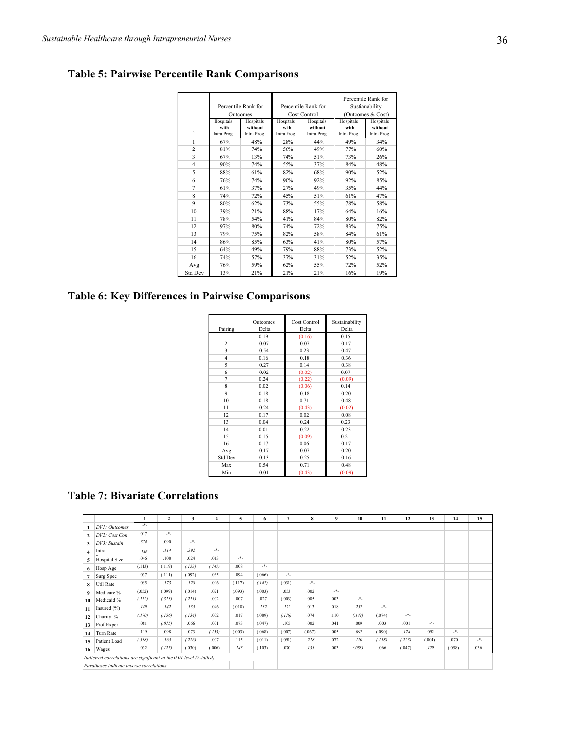|                |            |                     |            |                     |            | Percentile Rank for |
|----------------|------------|---------------------|------------|---------------------|------------|---------------------|
|                |            | Percentile Rank for |            | Percentile Rank for |            | Sustianability      |
|                |            | Outcomes            |            | Cost Control        |            | (Outcomes & Cost)   |
|                | Hospitals  | Hospitals           | Hospitals  | Hospitals           | Hospitals  | Hospitals           |
| ۰              | with       | without             | with       | without             | with       | without             |
|                | Intra Prog | Intra Prog          | Intra Prog | Intra Prog          | Intra Prog | Intra Prog          |
| 1              | 67%        | 48%                 | 28%        | 44%                 | 49%        | 34%                 |
| 2              | 81%        | 74%                 | 56%        | 49%                 | 77%        | 60%                 |
| 3              | 67%        | 13%                 | 74%        | 51%                 | 73%        | 26%                 |
| $\overline{4}$ | 90%        | 74%                 | 55%        | 37%                 | 84%        | 48%                 |
| 5              | 88%        | 61%                 | 82%        | 68%                 | 90%        | 52%                 |
| 6              | 76%        | 74%                 | 90%        | 92%                 | 92%        | 85%                 |
| 7              | 61%        | 37%                 | 27%        | 49%                 | 35%        | 44%                 |
| 8              | 74%        | 72%                 | 45%        | 51%                 | 61%        | 47%                 |
| 9              | 80%        | 62%                 | 73%        | 55%                 | 78%        | 58%                 |
| 10             | 39%        | 21%                 | 88%        | 17%                 | 64%        | 16%                 |
| 11             | 78%        | 54%                 | 41%        | 84%                 | 80%        | 82%                 |
| 12             | 97%        | 80%                 | 74%        | 72%                 | 83%        | 75%                 |
| 13             | 79%        | 75%                 | 82%        | 58%                 | 84%        | 61%                 |
| 14             | 86%        | 85%                 | 63%        | 41%                 | 80%        | 57%                 |
| 15             | 64%        | 49%                 | 79%        | 88%                 | 73%        | 52%                 |
| 16             | 74%        | 57%                 | 37%        | 31%                 | 52%        | 35%                 |
| Avg            | 76%        | 59%                 | 62%        | 55%                 | 72%        | 52%                 |
| <b>Std Dev</b> | 13%        | 21%                 | 21%        | 21%                 | 16%        | 19%                 |

## **Table 5: Pairwise Percentile Rank Comparisons**

# **Table 6: Key Differences in Pairwise Comparisons**  Key Differences

|                | Outcomes | Cost Control | Sustainability |
|----------------|----------|--------------|----------------|
| Pairing        | Delta    | Delta        | Delta          |
| 1              | 0.19     | (0.16)       | 0.15           |
| $\overline{c}$ | 0.07     | 0.07         | 0.17           |
| 3              | 0.54     | 0.23         | 0.47           |
| $\overline{4}$ | 0.16     | 0.18         | 0.36           |
| 5              | 0.27     | 0.14         | 0.38           |
| 6              | 0.02     | (0.02)       | 0.07           |
| 7              | 0.24     | (0.22)       | (0.09)         |
| 8              | 0.02     | (0.06)       | 0.14           |
| 9              | 0.18     | 0.18         | 0.20           |
| 10             | 0.18     | 0.71         | 0.48           |
| 11             | 0.24     | (0.43)       | (0.02)         |
| 12             | 0.17     | 0.02         | 0.08           |
| 13             | 0.04     | 0.24         | 0.23           |
| 14             | 0.01     | 0.22         | 0.23           |
| 15             | 0.15     | (0.09)       | 0.21           |
| 16             | 0.17     | 0.06         | 0.17           |
| Avg            | 0.17     | 0.07         | 0.20           |
| Std Dev        | 0.13     | 0.25         | 0.16           |
| Max            | 0.54     | 0.71         | 0.48           |
| Min            | 0.01     | (0.43)       | (0.09)         |

### **Table 7: Bivariate Correlations**

|                |                                                                       | 1      | $\overline{2}$  | 3                           | $\overline{4}$ | 5      | 6      | $\overline{7}$ | 8               | 9               | 10              | 11     | 12              | 13              | 14                          | 15   |
|----------------|-----------------------------------------------------------------------|--------|-----------------|-----------------------------|----------------|--------|--------|----------------|-----------------|-----------------|-----------------|--------|-----------------|-----------------|-----------------------------|------|
|                | DV1: Outcomes                                                         | .8.    |                 |                             |                |        |        |                |                 |                 |                 |        |                 |                 |                             |      |
| $\mathbf{2}$   | DV2: Cost Con                                                         | 017    | $\mathcal{N}_n$ |                             |                |        |        |                |                 |                 |                 |        |                 |                 |                             |      |
| 3              | DV3: Sustain                                                          | .374   | .090            | $\mathcal{F}_{\mathcal{F}}$ |                |        |        |                |                 |                 |                 |        |                 |                 |                             |      |
| $\overline{4}$ | Intra                                                                 | .146   | .114            | .392                        | $-$ * $-$      |        |        |                |                 |                 |                 |        |                 |                 |                             |      |
| 5              | <b>Hospital Size</b>                                                  | .046   | .108            | .024                        | .013           | .8.    |        |                |                 |                 |                 |        |                 |                 |                             |      |
| 6              | Hosp Age                                                              | (.113) | (.119)          | (.153)                      | (.147)         | .008   | .8.    |                |                 |                 |                 |        |                 |                 |                             |      |
| $\overline{7}$ | Surg Spec                                                             | .037   | (.111)          | (.092)                      | .035           | .094   | (.066) | $-$ * $-$      |                 |                 |                 |        |                 |                 |                             |      |
| 8              | Util Rate                                                             | .055   | .173            | .128                        | .096           | (.117) | (.147) | (.031)         | $\mathcal{N}_-$ |                 |                 |        |                 |                 |                             |      |
| 9              | Medicare %                                                            | (.052) | (.099)          | (.014)                      | .021           | (.093) | (.003) | .053           | .002            | $\mathcal{N}_n$ |                 |        |                 |                 |                             |      |
| 10             | Medicaid %                                                            | (.152) | (.313)          | (.211)                      | .002           | .007   | .027   | (.003)         | .085            | .003            | $\mathcal{N}_-$ |        |                 |                 |                             |      |
| 11             | Insured $(\% )$                                                       | .149   | .142            | .135                        | .046           | (.018) | .132   | .172           | .013            | .018            | .237            | $-8-$  |                 |                 |                             |      |
| 12             | Charity %                                                             | (.170) | (.156)          | (.134)                      | .002           | .017   | (.089) | (.116)         | .074            | .110            | (.142)          | (.074) | $\mathcal{N}_n$ |                 |                             |      |
| 13             | Prof Exper                                                            | .081   | (.015)          | .066                        | .001           | .073   | (.047) | .105           | .002            | .041            | .009            | .003   | .001            | $\mathcal{A}_n$ |                             |      |
| 14             | Turn Rate                                                             | .119   | .098            | .073                        | (.153)         | (.003) | (.068) | (.007)         | (.067)          | .005            | .097            | (.090) | .174            | .092            | $\mathcal{A}_{\mathcal{A}}$ |      |
| 15             | Patient Load                                                          | (.338) | .165            | (.226)                      | .007           | .115   | (.011) | (.091)         | .218            | .072            | .120            | (.118) | (.223)          | (.004)          | .070                        | .8.  |
|                | 16 Wages                                                              | .032   | (.125)          | (.030)                      | (.006)         | .143   | (.103) | .070           | .133            | .003            | (.083)          | .066   | (.047)          | .179            | (.058)                      | .036 |
|                | Italicized correlations are significant at the 0.01 level (2-tailed). |        |                 |                             |                |        |        |                |                 |                 |                 |        |                 |                 |                             |      |
|                | Paratheses indicate inverse correlations.                             |        |                 |                             |                |        |        |                |                 |                 |                 |        |                 |                 |                             |      |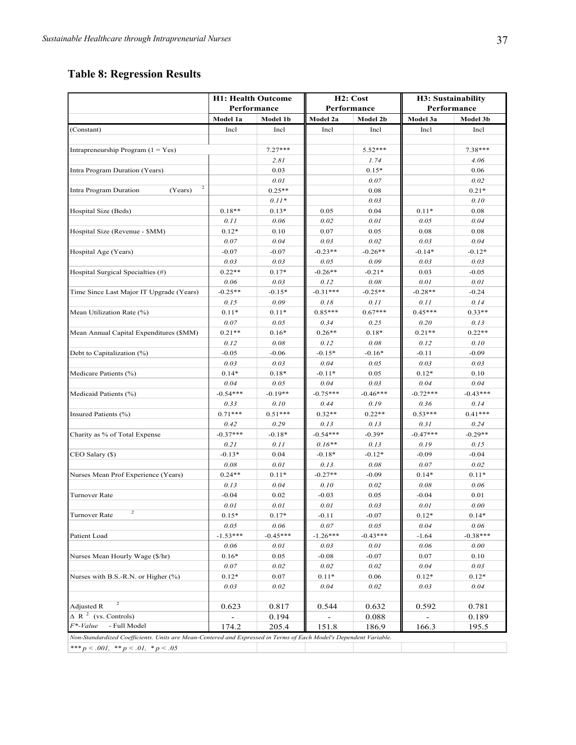## **Table 8: Regression Results**

|                                                                                                                   |                | <b>H1: Health Outcome</b> | H2: Cost   |             |            | H3: Sustainability |  |  |
|-------------------------------------------------------------------------------------------------------------------|----------------|---------------------------|------------|-------------|------------|--------------------|--|--|
|                                                                                                                   |                | Performance               |            | Performance |            | Performance        |  |  |
|                                                                                                                   | Model 1a       | Model 1b                  | Model 2a   | Model 2b    | Model 3a   | Model 3b           |  |  |
| (Constant)                                                                                                        | Incl           | Incl                      | Incl       | Incl        | Incl       | Incl               |  |  |
|                                                                                                                   |                |                           |            |             |            |                    |  |  |
| Intrapreneurship Program $(1 = Yes)$                                                                              |                | $7.27***$                 |            | $5.52***$   |            | $7.38***$          |  |  |
|                                                                                                                   |                | 2.81                      |            | 1.74        |            | 4.06               |  |  |
| Intra Program Duration (Years)                                                                                    |                | 0.03                      |            | $0.15*$     |            | 0.06               |  |  |
|                                                                                                                   |                | 0.01                      |            | 0.07        |            | 0.02               |  |  |
| $\overline{a}$<br>Intra Program Duration<br>(Years)                                                               |                | $0.25**$                  |            | 0.08        |            | $0.21*$            |  |  |
|                                                                                                                   |                | $0.11*$                   |            | 0.03        |            | 0.10               |  |  |
| Hospital Size (Beds)                                                                                              | $0.18**$       | $0.13*$                   | 0.05       | 0.04        | $0.11*$    | 0.08               |  |  |
|                                                                                                                   | 0.11           | 0.06                      | 0.02       | 0.01        | 0.05       | 0.04               |  |  |
| Hospital Size (Revenue - \$MM)                                                                                    | $0.12*$        | 0.10                      | 0.07       | 0.05        | 0.08       | 0.08               |  |  |
|                                                                                                                   | 0.07           | 0.04                      | 0.03       | 0.02        | 0.03       | 0.04               |  |  |
| Hospital Age (Years)                                                                                              | $-0.07$        | $-0.07$                   | $-0.23**$  | $-0.26**$   | $-0.14*$   | $-0.12*$           |  |  |
|                                                                                                                   | 0.03           | 0.03                      | 0.05       | 0.09        | 0.03       | 0.03               |  |  |
| Hospital Surgical Specialties (#)                                                                                 | $0.22**$       | $0.17*$                   | $-0.26**$  | $-0.21*$    | 0.03       | $-0.05$            |  |  |
|                                                                                                                   | 0.06           | 0.03                      | 0.12       | 0.08        | 0.01       | 0.01               |  |  |
| Time Since Last Major IT Upgrade (Years)                                                                          | $-0.25**$      | $-0.15*$                  | $-0.31***$ | $-0.25**$   | $-0.28**$  | $-0.24$            |  |  |
|                                                                                                                   | 0.15           | 0.09                      | 0.18       | 0.11        | 0.11       | 0.14               |  |  |
| Mean Utilization Rate (%)                                                                                         | $0.11*$        | $0.11*$                   | $0.85***$  | $0.67***$   | $0.45***$  | $0.33**$           |  |  |
|                                                                                                                   | 0.07           | 0.05                      | 0.34       | 0.25        | 0.20       | 0.13               |  |  |
| Mean Annual Capital Expenditures (\$MM)                                                                           | $0.21**$       | $0.16*$                   | $0.26**$   | $0.18*$     | $0.21**$   | $0.22**$           |  |  |
|                                                                                                                   |                |                           |            |             |            | 0.10               |  |  |
|                                                                                                                   | 0.12           | 0.08                      | 0.12       | 0.08        | 0.12       |                    |  |  |
| Debt to Capitalization (%)                                                                                        | $-0.05$        | $-0.06$                   | $-0.15*$   | $-0.16*$    | $-0.11$    | $-0.09$            |  |  |
|                                                                                                                   | 0.03           | 0.03                      | 0.04       | 0.05        | 0.03       | 0.03               |  |  |
| Medicare Patients (%)                                                                                             | $0.14*$        | $0.18*$                   | $-0.11*$   | 0.05        | $0.12*$    | 0.10               |  |  |
|                                                                                                                   | 0.04           | 0.05                      | 0.04       | 0.03        | 0.04       | 0.04               |  |  |
| Medicaid Patients (%)                                                                                             | $-0.54***$     | $-0.19**$                 | $-0.75***$ | $-0.46***$  | $-0.72***$ | $-0.43***$         |  |  |
|                                                                                                                   | 0.33           | 0.10                      | 0.44       | 0.19        | 0.36       | 0.14               |  |  |
| Insured Patients (%)                                                                                              | $0.71***$      | $0.51***$                 | $0.32**$   | $0.22**$    | $0.53***$  | $0.41***$          |  |  |
|                                                                                                                   | 0.42           | 0.29                      | 0.13       | 0.13        | 0.31       | 0.24               |  |  |
| Charity as % of Total Expense                                                                                     | $-0.37***$     | $-0.18*$                  | $-0.54***$ | $-0.39*$    | $-0.47***$ | $-0.29**$          |  |  |
|                                                                                                                   | 0.21           | 0.11                      | $0.16**$   | 0.13        | 0.19       | 0.15               |  |  |
| CEO Salary (\$)                                                                                                   | $-0.13*$       | 0.04                      | $-0.18*$   | $-0.12*$    | $-0.09$    | $-0.04$            |  |  |
|                                                                                                                   | 0.08           | 0.01                      | 0.13       | 0.08        | 0.07       | 0.02               |  |  |
| Nurses Mean Prof Experience (Years)                                                                               | $0.24**$       | $0.11*$                   | $-0.27**$  | $-0.09$     | $0.14*$    | $0.11*$            |  |  |
|                                                                                                                   | 0.13           | 0.04                      | 0.10       | 0.02        | 0.08       | 0.06               |  |  |
| Turnover Rate                                                                                                     | $-0.04$        | 0.02                      | $-0.03$    | 0.05        | $-0.04$    | 0.01               |  |  |
|                                                                                                                   | 0.01           | 0.01                      | 0.01       | 0.03        | 0.01       | 0.00               |  |  |
| Turnover Rate                                                                                                     | $0.15*$        | $0.17*$                   | -0.11      | $-0.07$     | $0.12*$    | $0.14*$            |  |  |
|                                                                                                                   | 0.05           | 0.06                      | 0.07       | 0.05        | 0.04       | 0.06               |  |  |
| Patient Load                                                                                                      | $-1.53***$     | $-0.45***$                | $-1.26***$ | $-0.43***$  | $-1.64$    | $-0.38***$         |  |  |
|                                                                                                                   | 0.06           | 0.01                      | 0.03       | 0.01        | 0.06       | 0.00               |  |  |
| Nurses Mean Hourly Wage (\$/hr)                                                                                   | $0.16*$        | 0.05                      | $-0.08$    | $-0.07$     | 0.07       | 0.10               |  |  |
|                                                                                                                   | 0.07           | 0.02                      | 0.02       | 0.02        | 0.04       | 0.03               |  |  |
| Nurses with B.S.-R.N. or Higher (%)                                                                               | $0.12*$        | 0.07                      | $0.11*$    | 0.06        | $0.12*$    | $0.12*$            |  |  |
|                                                                                                                   | 0.03           | 0.02                      | 0.04       | 0.02        | 0.03       | 0.04               |  |  |
|                                                                                                                   |                |                           |            |             |            |                    |  |  |
| $\overline{2}$<br>Adjusted R                                                                                      | 0.623          | 0.817                     | 0.544      | 0.632       | 0.592      | 0.781              |  |  |
| $\triangle R$ <sup>2</sup> (vs. Controls)                                                                         | $\blacksquare$ | 0.194                     |            | 0.088       |            | 0.189              |  |  |
| F*-Value - Full Model                                                                                             | 174.2          | 205.4                     | 151.8      | 186.9       | 166.3      | 195.5              |  |  |
| Non-Standardized Coefficients. Units are Mean-Centered and Expressed in Terms of Each Model's Dependent Variable. |                |                           |            |             |            |                    |  |  |
| *** $p < .001$ , ** $p < .01$ , * $p < .05$                                                                       |                |                           |            |             |            |                    |  |  |
|                                                                                                                   |                |                           |            |             |            |                    |  |  |